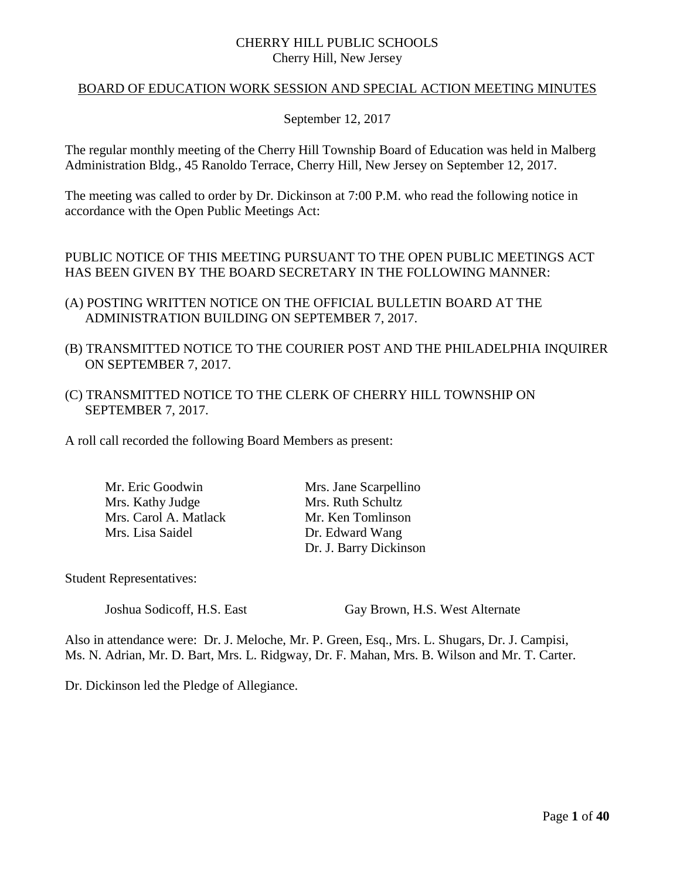## CHERRY HILL PUBLIC SCHOOLS Cherry Hill, New Jersey

## BOARD OF EDUCATION WORK SESSION AND SPECIAL ACTION MEETING MINUTES

## September 12, 2017

The regular monthly meeting of the Cherry Hill Township Board of Education was held in Malberg Administration Bldg., 45 Ranoldo Terrace, Cherry Hill, New Jersey on September 12, 2017.

The meeting was called to order by Dr. Dickinson at 7:00 P.M. who read the following notice in accordance with the Open Public Meetings Act:

PUBLIC NOTICE OF THIS MEETING PURSUANT TO THE OPEN PUBLIC MEETINGS ACT HAS BEEN GIVEN BY THE BOARD SECRETARY IN THE FOLLOWING MANNER:

- (A) POSTING WRITTEN NOTICE ON THE OFFICIAL BULLETIN BOARD AT THE ADMINISTRATION BUILDING ON SEPTEMBER 7, 2017.
- (B) TRANSMITTED NOTICE TO THE COURIER POST AND THE PHILADELPHIA INQUIRER ON SEPTEMBER 7, 2017.
- (C) TRANSMITTED NOTICE TO THE CLERK OF CHERRY HILL TOWNSHIP ON SEPTEMBER 7, 2017.

A roll call recorded the following Board Members as present:

Mr. Eric Goodwin Mrs. Jane Scarpellino Mrs. Kathy Judge Mrs. Ruth Schultz Mrs. Carol A. Matlack Mr. Ken Tomlinson Mrs. Lisa Saidel Dr. Edward Wang

Dr. J. Barry Dickinson

Student Representatives:

Joshua Sodicoff, H.S. East Gay Brown, H.S. West Alternate

Also in attendance were: Dr. J. Meloche, Mr. P. Green, Esq., Mrs. L. Shugars, Dr. J. Campisi, Ms. N. Adrian, Mr. D. Bart, Mrs. L. Ridgway, Dr. F. Mahan, Mrs. B. Wilson and Mr. T. Carter.

Dr. Dickinson led the Pledge of Allegiance.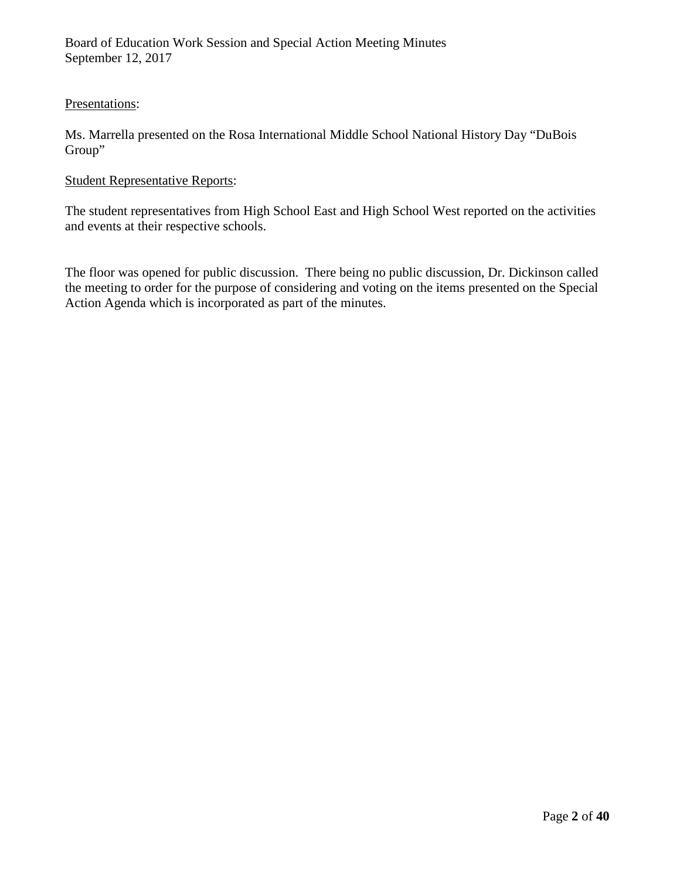## Presentations:

Ms. Marrella presented on the Rosa International Middle School National History Day "DuBois Group"

### Student Representative Reports:

The student representatives from High School East and High School West reported on the activities and events at their respective schools.

The floor was opened for public discussion. There being no public discussion, Dr. Dickinson called the meeting to order for the purpose of considering and voting on the items presented on the Special Action Agenda which is incorporated as part of the minutes.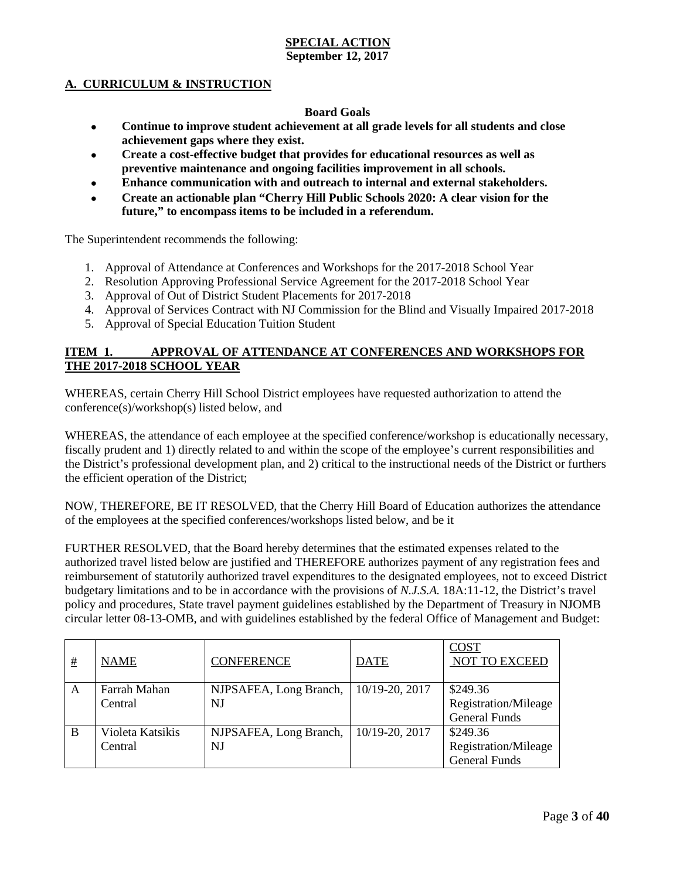#### **A. CURRICULUM & INSTRUCTION**

#### **Board Goals**

- **Continue to improve student achievement at all grade levels for all students and close achievement gaps where they exist.**
- **Create a cost-effective budget that provides for educational resources as well as preventive maintenance and ongoing facilities improvement in all schools.**
- **Enhance communication with and outreach to internal and external stakeholders.**
- **Create an actionable plan "Cherry Hill Public Schools 2020: A clear vision for the future," to encompass items to be included in a referendum.**

The Superintendent recommends the following:

- 1. Approval of Attendance at Conferences and Workshops for the 2017-2018 School Year
- 2. Resolution Approving Professional Service Agreement for the 2017-2018 School Year
- 3. Approval of Out of District Student Placements for 2017-2018
- 4. Approval of Services Contract with NJ Commission for the Blind and Visually Impaired 2017-2018
- 5. Approval of Special Education Tuition Student

#### **ITEM 1. APPROVAL OF ATTENDANCE AT CONFERENCES AND WORKSHOPS FOR THE 2017-2018 SCHOOL YEAR**

WHEREAS, certain Cherry Hill School District employees have requested authorization to attend the conference(s)/workshop(s) listed below, and

WHEREAS, the attendance of each employee at the specified conference/workshop is educationally necessary, fiscally prudent and 1) directly related to and within the scope of the employee's current responsibilities and the District's professional development plan, and 2) critical to the instructional needs of the District or furthers the efficient operation of the District;

NOW, THEREFORE, BE IT RESOLVED, that the Cherry Hill Board of Education authorizes the attendance of the employees at the specified conferences/workshops listed below, and be it

FURTHER RESOLVED, that the Board hereby determines that the estimated expenses related to the authorized travel listed below are justified and THEREFORE authorizes payment of any registration fees and reimbursement of statutorily authorized travel expenditures to the designated employees, not to exceed District budgetary limitations and to be in accordance with the provisions of *N.J.S.A.* 18A:11-12, the District's travel policy and procedures, State travel payment guidelines established by the Department of Treasury in NJOMB circular letter 08-13-OMB, and with guidelines established by the federal Office of Management and Budget:

| # | <b>NAME</b>                 | <b>CONFERENCE</b>            | <b>DATE</b>    | <b>COST</b><br><b>NOT TO EXCEED</b>                      |
|---|-----------------------------|------------------------------|----------------|----------------------------------------------------------|
| A | Farrah Mahan<br>Central     | NJPSAFEA, Long Branch,<br>NJ | 10/19-20, 2017 | \$249.36<br>Registration/Mileage<br><b>General Funds</b> |
| B | Violeta Katsikis<br>Central | NJPSAFEA, Long Branch,<br>NJ | 10/19-20, 2017 | \$249.36<br>Registration/Mileage<br><b>General Funds</b> |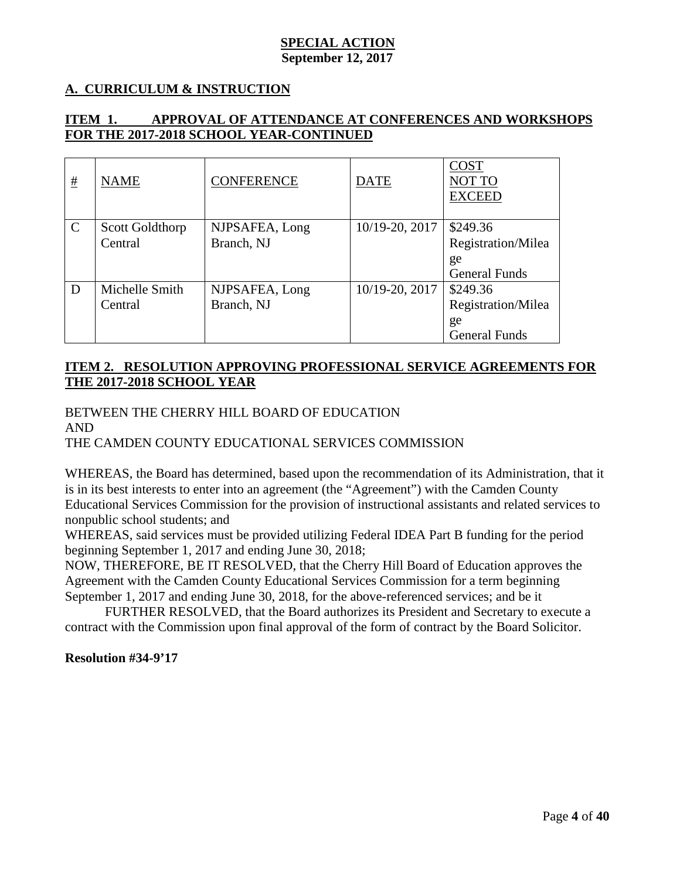## **A. CURRICULUM & INSTRUCTION**

## **ITEM 1. APPROVAL OF ATTENDANCE AT CONFERENCES AND WORKSHOPS FOR THE 2017-2018 SCHOOL YEAR-CONTINUED**

| #             | <b>NAME</b>                | <b>CONFERENCE</b>            | <b>DATE</b>    | <b>COST</b><br>NOT TO<br><b>EXCEED</b>                       |
|---------------|----------------------------|------------------------------|----------------|--------------------------------------------------------------|
| $\mathcal{C}$ | Scott Goldthorp<br>Central | NJPSAFEA, Long<br>Branch, NJ | 10/19-20, 2017 | \$249.36<br>Registration/Milea<br>ge<br><b>General Funds</b> |
| D             | Michelle Smith<br>Central  | NJPSAFEA, Long<br>Branch, NJ | 10/19-20, 2017 | \$249.36<br>Registration/Milea<br>ge<br><b>General Funds</b> |

## **ITEM 2. RESOLUTION APPROVING PROFESSIONAL SERVICE AGREEMENTS FOR THE 2017-2018 SCHOOL YEAR**

BETWEEN THE CHERRY HILL BOARD OF EDUCATION AND THE CAMDEN COUNTY EDUCATIONAL SERVICES COMMISSION

WHEREAS, the Board has determined, based upon the recommendation of its Administration, that it is in its best interests to enter into an agreement (the "Agreement") with the Camden County Educational Services Commission for the provision of instructional assistants and related services to nonpublic school students; and

WHEREAS, said services must be provided utilizing Federal IDEA Part B funding for the period beginning September 1, 2017 and ending June 30, 2018;

NOW, THEREFORE, BE IT RESOLVED, that the Cherry Hill Board of Education approves the Agreement with the Camden County Educational Services Commission for a term beginning September 1, 2017 and ending June 30, 2018, for the above-referenced services; and be it

FURTHER RESOLVED, that the Board authorizes its President and Secretary to execute a contract with the Commission upon final approval of the form of contract by the Board Solicitor.

**Resolution #34-9'17**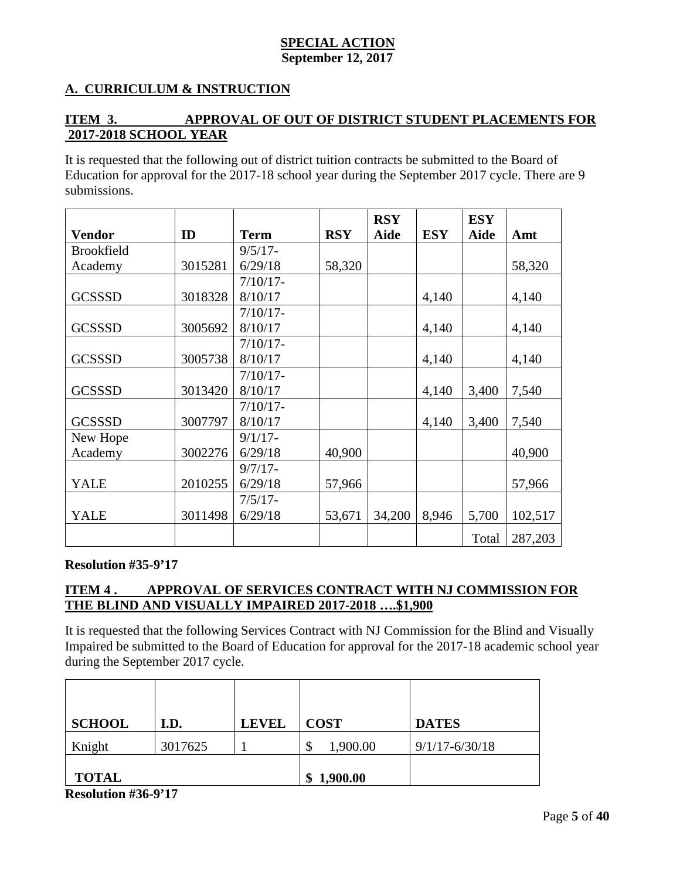## **A. CURRICULUM & INSTRUCTION**

## **ITEM 3. APPROVAL OF OUT OF DISTRICT STUDENT PLACEMENTS FOR 2017-2018 SCHOOL YEAR**

It is requested that the following out of district tuition contracts be submitted to the Board of Education for approval for the 2017-18 school year during the September 2017 cycle. There are 9 submissions.

|                   |         |             |            | <b>RSY</b>  |            | <b>ESY</b> |         |
|-------------------|---------|-------------|------------|-------------|------------|------------|---------|
| <b>Vendor</b>     | ID      | <b>Term</b> | <b>RSY</b> | <b>Aide</b> | <b>ESY</b> | Aide       | Amt     |
| <b>Brookfield</b> |         | $9/5/17-$   |            |             |            |            |         |
| Academy           | 3015281 | 6/29/18     | 58,320     |             |            |            | 58,320  |
|                   |         | $7/10/17$ - |            |             |            |            |         |
| <b>GCSSSD</b>     | 3018328 | 8/10/17     |            |             | 4,140      |            | 4,140   |
|                   |         | $7/10/17$ - |            |             |            |            |         |
| <b>GCSSSD</b>     | 3005692 | 8/10/17     |            |             | 4,140      |            | 4,140   |
|                   |         | $7/10/17$ - |            |             |            |            |         |
| <b>GCSSSD</b>     | 3005738 | 8/10/17     |            |             | 4,140      |            | 4,140   |
|                   |         | $7/10/17$ - |            |             |            |            |         |
| <b>GCSSSD</b>     | 3013420 | 8/10/17     |            |             | 4,140      | 3,400      | 7,540   |
|                   |         | $7/10/17$ - |            |             |            |            |         |
| <b>GCSSSD</b>     | 3007797 | 8/10/17     |            |             | 4,140      | 3,400      | 7,540   |
| New Hope          |         | $9/1/17$ -  |            |             |            |            |         |
| Academy           | 3002276 | 6/29/18     | 40,900     |             |            |            | 40,900  |
|                   |         | $9/7/17 -$  |            |             |            |            |         |
| <b>YALE</b>       | 2010255 | 6/29/18     | 57,966     |             |            |            | 57,966  |
|                   |         | $7/5/17-$   |            |             |            |            |         |
| YALE              | 3011498 | 6/29/18     | 53,671     | 34,200      | 8,946      | 5,700      | 102,517 |
|                   |         |             |            |             |            | Total      | 287,203 |

#### **Resolution #35-9'17**

## **ITEM 4 . APPROVAL OF SERVICES CONTRACT WITH NJ COMMISSION FOR THE BLIND AND VISUALLY IMPAIRED 2017-2018 ….\$1,900**

It is requested that the following Services Contract with NJ Commission for the Blind and Visually Impaired be submitted to the Board of Education for approval for the 2017-18 academic school year during the September 2017 cycle.

| <b>SCHOOL</b> | I.D.    | <b>LEVEL</b> | <b>COST</b>    | <b>DATES</b>       |
|---------------|---------|--------------|----------------|--------------------|
| Knight        | 3017625 |              | 1,900.00<br>\$ | $9/1/17 - 6/30/18$ |
| <b>TOTAL</b>  |         |              | 1,900.00<br>\$ |                    |

**Resolution #36-9'17**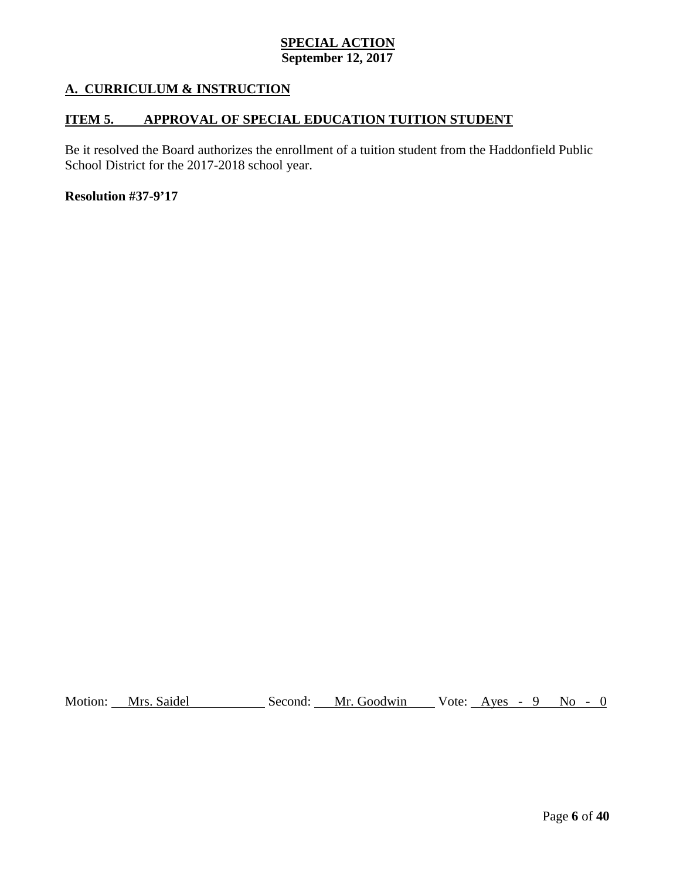## **A. CURRICULUM & INSTRUCTION**

## **ITEM 5. APPROVAL OF SPECIAL EDUCATION TUITION STUDENT**

Be it resolved the Board authorizes the enrollment of a tuition student from the Haddonfield Public School District for the 2017-2018 school year.

#### **Resolution #37-9'17**

Motion: Mrs. Saidel Second: Mr. Goodwin Vote: Ayes - 9 No - 0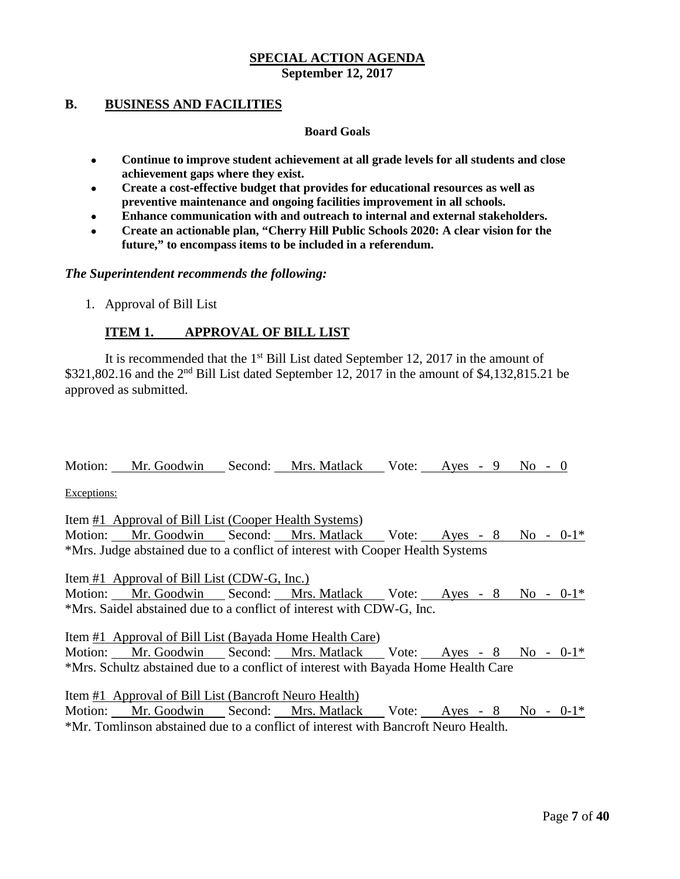#### **B. BUSINESS AND FACILITIES**

#### **Board Goals**

- **Continue to improve student achievement at all grade levels for all students and close achievement gaps where they exist.**
- **Create a cost-effective budget that provides for educational resources as well as preventive maintenance and ongoing facilities improvement in all schools.**
- **Enhance communication with and outreach to internal and external stakeholders.**
- **Create an actionable plan, "Cherry Hill Public Schools 2020: A clear vision for the future," to encompass items to be included in a referendum.**

*The Superintendent recommends the following:*

1. Approval of Bill List

#### **ITEM 1. APPROVAL OF BILL LIST**

It is recommended that the  $1<sup>st</sup>$  Bill List dated September 12, 2017 in the amount of  $$321,802.16$  and the  $2<sup>nd</sup>$  Bill List dated September 12, 2017 in the amount of  $$4,132,815.21$  be approved as submitted.

Motion: Mr. Goodwin Second: Mrs. Matlack Vote: Ayes - 9 No - 0

Exceptions:

Item #1 Approval of Bill List (Cooper Health Systems) Motion: Mr. Goodwin Second: Mrs. Matlack Vote: Ayes - 8 No - 0-1\* \*Mrs. Judge abstained due to a conflict of interest with Cooper Health Systems

Item #1 Approval of Bill List (CDW-G, Inc.) Motion: Mr. Goodwin Second: Mrs. Matlack Vote: Ayes - 8 No - 0-1\* \*Mrs. Saidel abstained due to a conflict of interest with CDW-G, Inc.

Item #1 Approval of Bill List (Bayada Home Health Care) Motion: Mr. Goodwin Second: Mrs. Matlack Vote: Ayes - 8 No - 0-1\* \*Mrs. Schultz abstained due to a conflict of interest with Bayada Home Health Care

Item #1 Approval of Bill List (Bancroft Neuro Health) Motion: Mr. Goodwin Second: Mrs. Matlack Vote: Ayes - 8 No - 0-1\* \*Mr. Tomlinson abstained due to a conflict of interest with Bancroft Neuro Health.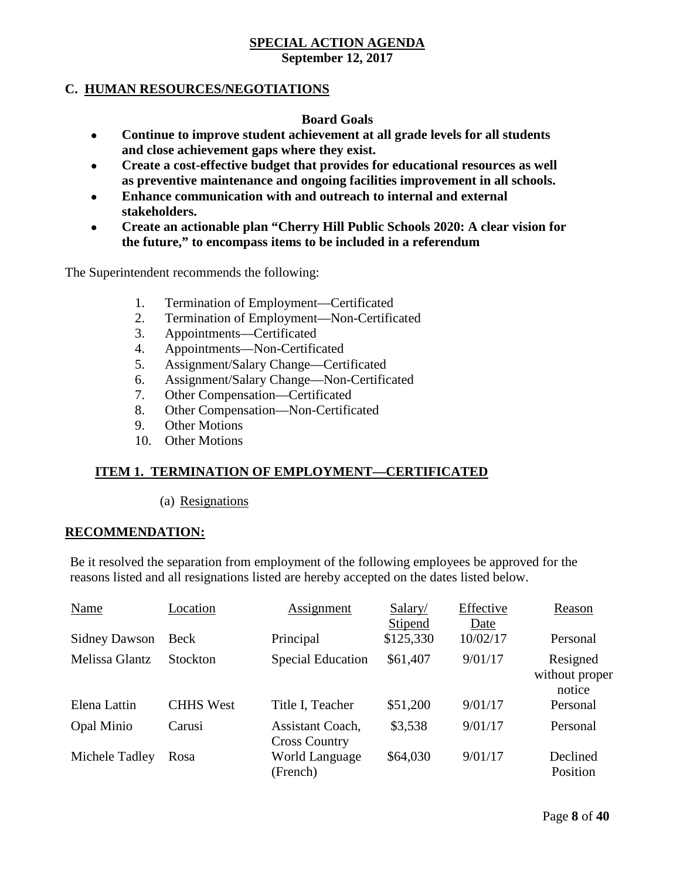# **C. HUMAN RESOURCES/NEGOTIATIONS**

## **Board Goals**

- **Continue to improve student achievement at all grade levels for all students and close achievement gaps where they exist.**
- **Create a cost-effective budget that provides for educational resources as well as preventive maintenance and ongoing facilities improvement in all schools.**
- **Enhance communication with and outreach to internal and external stakeholders.**
- **Create an actionable plan "Cherry Hill Public Schools 2020: A clear vision for the future," to encompass items to be included in a referendum**

The Superintendent recommends the following:

- 1. Termination of Employment—Certificated
- 2. Termination of Employment—Non-Certificated
- 3. Appointments—Certificated
- 4. Appointments—Non-Certificated
- 5. Assignment/Salary Change—Certificated
- 6. Assignment/Salary Change—Non-Certificated
- 7. Other Compensation—Certificated
- 8. Other Compensation—Non-Certificated
- 9. Other Motions
- 10. Other Motions

## **ITEM 1. TERMINATION OF EMPLOYMENT—CERTIFICATED**

(a) Resignations

#### **RECOMMENDATION:**

Be it resolved the separation from employment of the following employees be approved for the reasons listed and all resignations listed are hereby accepted on the dates listed below.

| Name                 | Location         | <b>Assignment</b>                        | Salary/<br>Stipend | Effective<br>Date | Reason                               |
|----------------------|------------------|------------------------------------------|--------------------|-------------------|--------------------------------------|
| <b>Sidney Dawson</b> | Beck             | Principal                                | \$125,330          | 10/02/17          | Personal                             |
| Melissa Glantz       | Stockton         | <b>Special Education</b>                 | \$61,407           | 9/01/17           | Resigned<br>without proper<br>notice |
| Elena Lattin         | <b>CHHS West</b> | Title I, Teacher                         | \$51,200           | 9/01/17           | Personal                             |
| Opal Minio           | Carusi           | Assistant Coach,<br><b>Cross Country</b> | \$3,538            | 9/01/17           | Personal                             |
| Michele Tadley       | Rosa             | World Language<br>(French)               | \$64,030           | 9/01/17           | Declined<br>Position                 |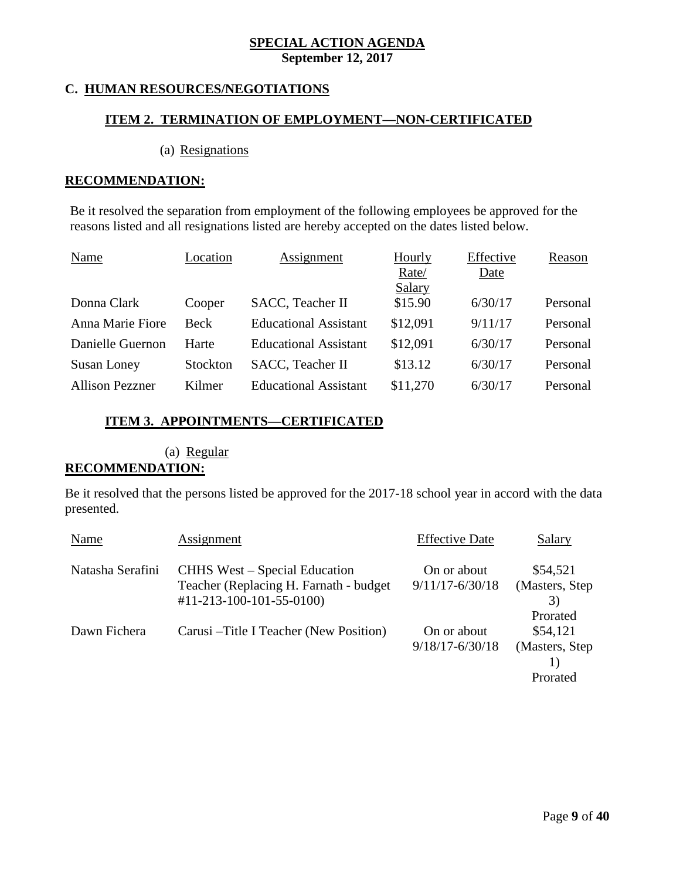## **C. HUMAN RESOURCES/NEGOTIATIONS**

## **ITEM 2. TERMINATION OF EMPLOYMENT—NON-CERTIFICATED**

#### (a) Resignations

#### **RECOMMENDATION:**

Be it resolved the separation from employment of the following employees be approved for the reasons listed and all resignations listed are hereby accepted on the dates listed below.

| <b>Name</b>            | Location    | Assignment                   | <b>Hourly</b> | Effective   | Reason   |
|------------------------|-------------|------------------------------|---------------|-------------|----------|
|                        |             |                              | Rate/         | <u>Date</u> |          |
|                        |             |                              | <b>Salary</b> |             |          |
| Donna Clark            | Cooper      | SACC, Teacher II             | \$15.90       | 6/30/17     | Personal |
| Anna Marie Fiore       | <b>Beck</b> | <b>Educational Assistant</b> | \$12,091      | 9/11/17     | Personal |
| Danielle Guernon       | Harte       | <b>Educational Assistant</b> | \$12,091      | 6/30/17     | Personal |
| Susan Loney            | Stockton    | SACC, Teacher II             | \$13.12       | 6/30/17     | Personal |
| <b>Allison Pezzner</b> | Kilmer      | <b>Educational Assistant</b> | \$11,270      | 6/30/17     | Personal |

#### **ITEM 3. APPOINTMENTS—CERTIFICATED**

## (a) Regular

#### **RECOMMENDATION:**

Be it resolved that the persons listed be approved for the 2017-18 school year in accord with the data presented.

| Name             | Assignment                                                                                                   | <b>Effective Date</b>              | Salary                                              |
|------------------|--------------------------------------------------------------------------------------------------------------|------------------------------------|-----------------------------------------------------|
| Natasha Serafini | <b>CHHS</b> West – Special Education<br>Teacher (Replacing H. Farnath - budget)<br>$#11-213-100-101-55-0100$ | On or about<br>$9/11/17 - 6/30/18$ | \$54,521<br>(Masters, Step)<br>3)                   |
| Dawn Fichera     | Carusi – Title I Teacher (New Position)                                                                      | On or about<br>$9/18/17 - 6/30/18$ | Prorated<br>\$54,121<br>(Masters, Step)<br>Prorated |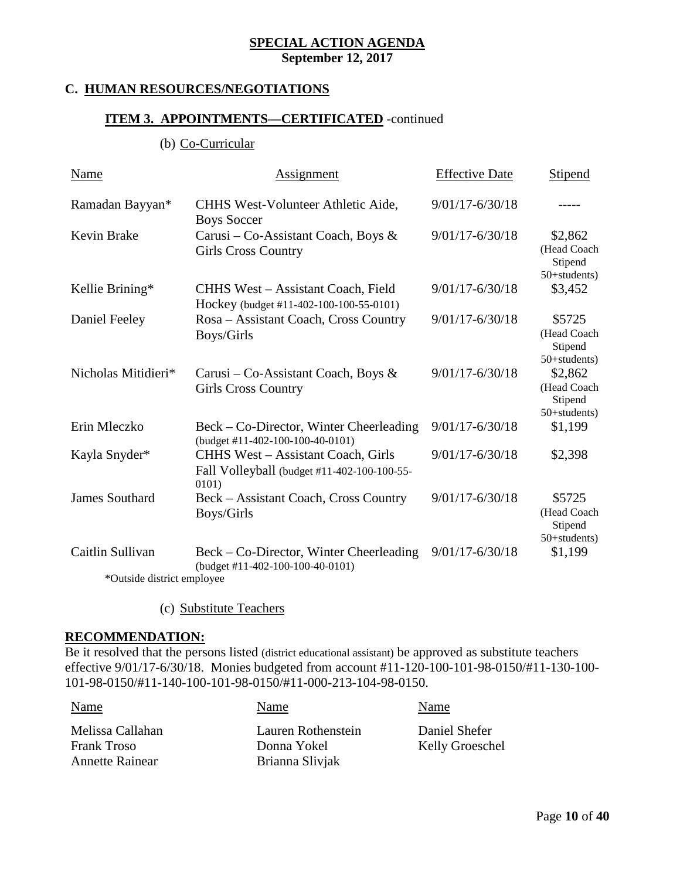## **C. HUMAN RESOURCES/NEGOTIATIONS**

## **ITEM 3. APPOINTMENTS—CERTIFICATED** -continued

(b) Co-Curricular

| Name                       | Assignment                                                                                        | <b>Effective Date</b> | <b>Stipend</b>                                    |  |  |  |
|----------------------------|---------------------------------------------------------------------------------------------------|-----------------------|---------------------------------------------------|--|--|--|
| Ramadan Bayyan*            | CHHS West-Volunteer Athletic Aide,<br><b>Boys Soccer</b>                                          | $9/01/17 - 6/30/18$   |                                                   |  |  |  |
| <b>Kevin Brake</b>         | Carusi – Co-Assistant Coach, Boys &<br><b>Girls Cross Country</b>                                 | $9/01/17 - 6/30/18$   | \$2,862<br>(Head Coach<br>Stipend<br>50+students) |  |  |  |
| Kellie Brining*            | CHHS West - Assistant Coach, Field<br>Hockey (budget #11-402-100-100-55-0101)                     | $9/01/17 - 6/30/18$   | \$3,452                                           |  |  |  |
| Daniel Feeley              | Rosa – Assistant Coach, Cross Country<br>Boys/Girls                                               | $9/01/17 - 6/30/18$   | \$5725<br>(Head Coach<br>Stipend<br>50+students)  |  |  |  |
| Nicholas Mitidieri*        | Carusi – Co-Assistant Coach, Boys &<br><b>Girls Cross Country</b>                                 | $9/01/17 - 6/30/18$   | \$2,862<br>(Head Coach<br>Stipend<br>50+students) |  |  |  |
| Erin Mleczko               | Beck – Co-Director, Winter Cheerleading<br>(budget #11-402-100-100-40-0101)                       | $9/01/17 - 6/30/18$   | \$1,199                                           |  |  |  |
| Kayla Snyder*              | <b>CHHS West - Assistant Coach, Girls</b><br>Fall Volleyball (budget #11-402-100-100-55-<br>0101) | $9/01/17 - 6/30/18$   | \$2,398                                           |  |  |  |
| <b>James Southard</b>      | Beck – Assistant Coach, Cross Country<br>Boys/Girls                                               | $9/01/17 - 6/30/18$   | \$5725<br>(Head Coach<br>Stipend<br>50+students)  |  |  |  |
| Caitlin Sullivan           | Beck – Co-Director, Winter Cheerleading<br>(budget #11-402-100-100-40-0101)                       | $9/01/17 - 6/30/18$   | \$1,199                                           |  |  |  |
| *Outside district employee |                                                                                                   |                       |                                                   |  |  |  |

(c) Substitute Teachers

#### **RECOMMENDATION:**

Be it resolved that the persons listed (district educational assistant) be approved as substitute teachers effective 9/01/17-6/30/18. Monies budgeted from account #11-120-100-101-98-0150/#11-130-100- 101-98-0150/#11-140-100-101-98-0150/#11-000-213-104-98-0150.

| Name                   | Name               | Name            |
|------------------------|--------------------|-----------------|
| Melissa Callahan       | Lauren Rothenstein | Daniel Shefer   |
| <b>Frank Troso</b>     | Donna Yokel        | Kelly Groeschel |
| <b>Annette Rainear</b> | Brianna Slivjak    |                 |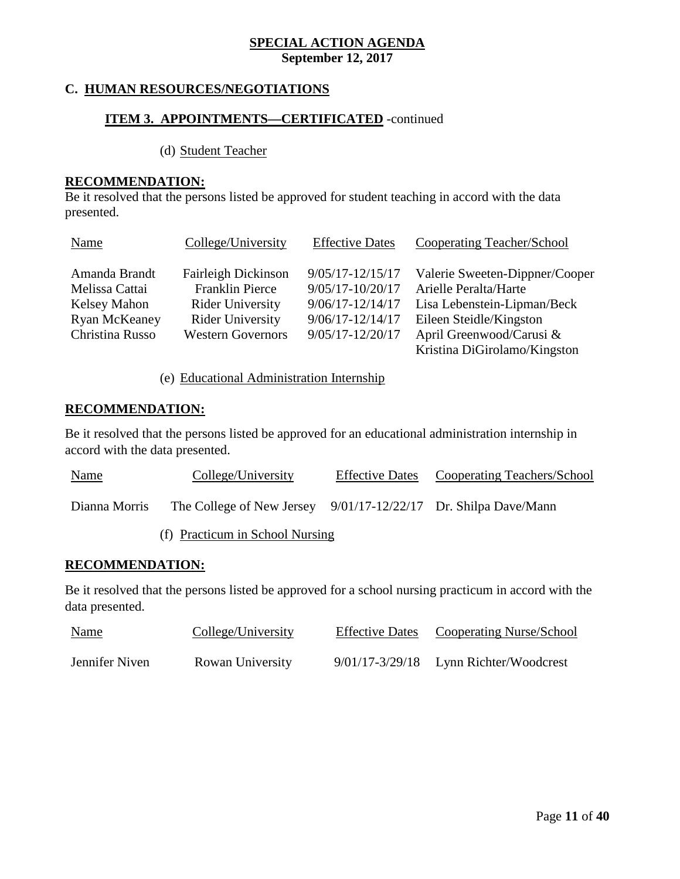## **C. HUMAN RESOURCES/NEGOTIATIONS**

## **ITEM 3. APPOINTMENTS—CERTIFICATED** -continued

(d) Student Teacher

#### **RECOMMENDATION:**

Be it resolved that the persons listed be approved for student teaching in accord with the data presented.

| Name                            | College/University                                   | <b>Effective Dates</b>                       | <b>Cooperating Teacher/School</b>                       |
|---------------------------------|------------------------------------------------------|----------------------------------------------|---------------------------------------------------------|
| Amanda Brandt<br>Melissa Cattai | <b>Fairleigh Dickinson</b><br><b>Franklin Pierce</b> | $9/05/17 - 12/15/17$<br>$9/05/17 - 10/20/17$ | Valerie Sweeten-Dippner/Cooper<br>Arielle Peralta/Harte |
| Kelsey Mahon                    | <b>Rider University</b>                              | $9/06/17 - 12/14/17$                         | Lisa Lebenstein-Lipman/Beck                             |
| Ryan McKeaney                   | <b>Rider University</b>                              | $9/06/17 - 12/14/17$                         | Eileen Steidle/Kingston                                 |
| Christina Russo                 | <b>Western Governors</b>                             | $9/05/17 - 12/20/17$                         | April Greenwood/Carusi &                                |
|                                 |                                                      |                                              | Kristina DiGirolamo/Kingston                            |

#### (e) Educational Administration Internship

## **RECOMMENDATION:**

Be it resolved that the persons listed be approved for an educational administration internship in accord with the data presented.

| <u>Name</u>   | College/University                                                | <b>Effective Dates</b> | Cooperating Teachers/School |
|---------------|-------------------------------------------------------------------|------------------------|-----------------------------|
| Dianna Morris | The College of New Jersey $9/01/17-12/22/17$ Dr. Shilpa Dave/Mann |                        |                             |

(f) Practicum in School Nursing

#### **RECOMMENDATION:**

Be it resolved that the persons listed be approved for a school nursing practicum in accord with the data presented.

| <b>Name</b>    | College/University | <b>Effective Dates</b> | Cooperating Nurse/School                   |
|----------------|--------------------|------------------------|--------------------------------------------|
| Jennifer Niven | Rowan University   |                        | $9/01/17 - 3/29/18$ Lynn Richter/Woodcrest |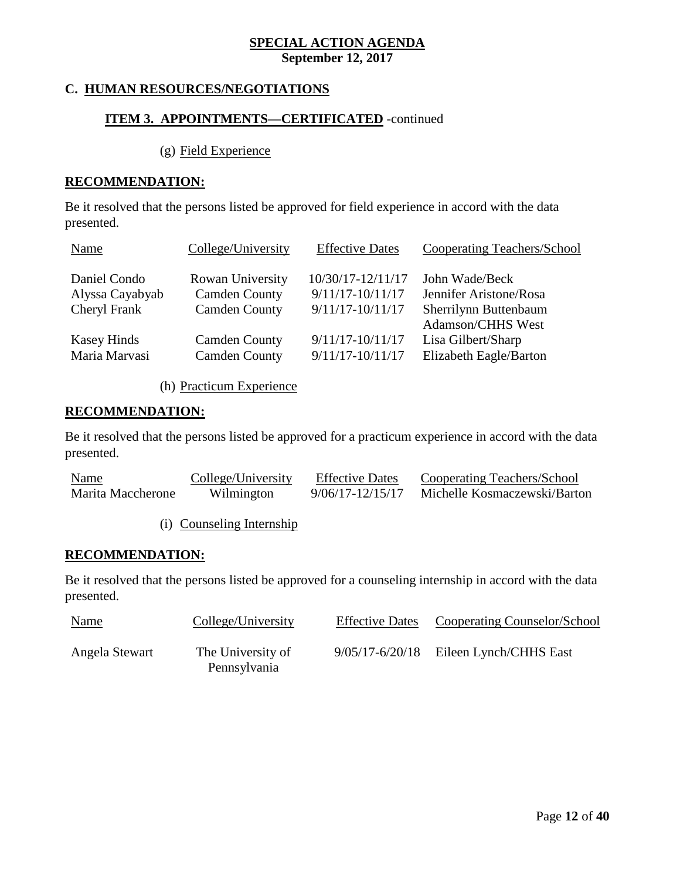## **C. HUMAN RESOURCES/NEGOTIATIONS**

## **ITEM 3. APPOINTMENTS—CERTIFICATED** -continued

(g) Field Experience

#### **RECOMMENDATION:**

Be it resolved that the persons listed be approved for field experience in accord with the data presented.

| Name               | College/University   | <b>Effective Dates</b> | <b>Cooperating Teachers/School</b>         |
|--------------------|----------------------|------------------------|--------------------------------------------|
| Daniel Condo       | Rowan University     | 10/30/17-12/11/17      | John Wade/Beck                             |
| Alyssa Cayabyab    | <b>Camden County</b> | $9/11/17 - 10/11/17$   | Jennifer Aristone/Rosa                     |
| Cheryl Frank       | <b>Camden County</b> | $9/11/17 - 10/11/17$   | Sherrilynn Buttenbaum<br>Adamson/CHHS West |
| <b>Kasey Hinds</b> | <b>Camden County</b> | $9/11/17 - 10/11/17$   | Lisa Gilbert/Sharp                         |
| Maria Marvasi      | <b>Camden County</b> | $9/11/17 - 10/11/17$   | Elizabeth Eagle/Barton                     |

(h) Practicum Experience

## **RECOMMENDATION:**

Be it resolved that the persons listed be approved for a practicum experience in accord with the data presented.

| Name              | College/University | <b>Effective Dates</b> | Cooperating Teachers/School  |
|-------------------|--------------------|------------------------|------------------------------|
| Marita Maccherone | Wilmington         | 9/06/17-12/15/17       | Michelle Kosmaczewski/Barton |

(i) Counseling Internship

#### **RECOMMENDATION:**

Be it resolved that the persons listed be approved for a counseling internship in accord with the data presented.

| <b>Name</b>    | College/University                | Effective Dates Cooperating Counselor/School |
|----------------|-----------------------------------|----------------------------------------------|
| Angela Stewart | The University of<br>Pennsylvania | $9/05/17 - 6/20/18$ Eileen Lynch/CHHS East   |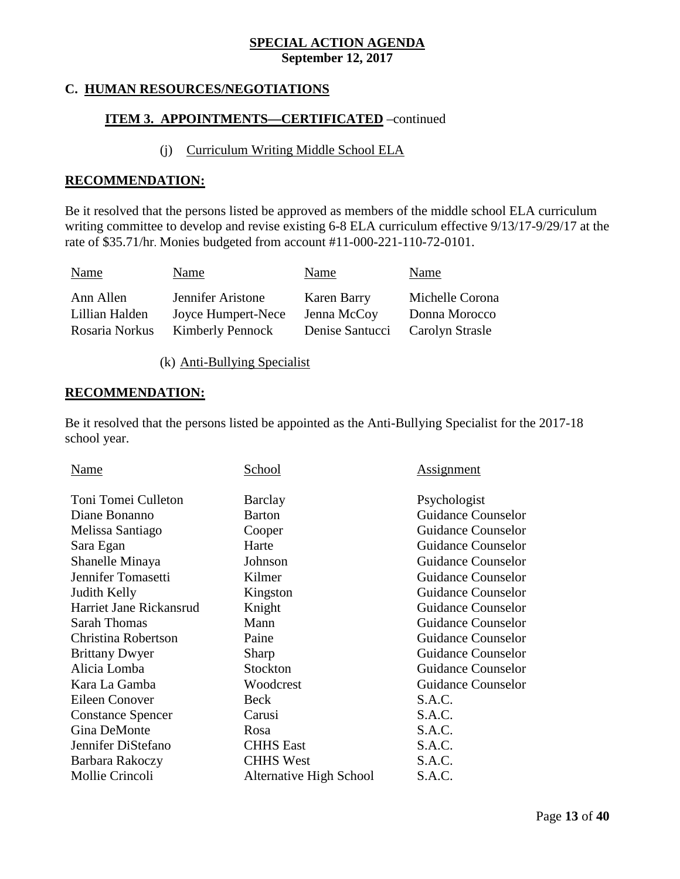## **C. HUMAN RESOURCES/NEGOTIATIONS**

## **ITEM 3. APPOINTMENTS—CERTIFICATED** –continued

#### (j) Curriculum Writing Middle School ELA

#### **RECOMMENDATION:**

Be it resolved that the persons listed be approved as members of the middle school ELA curriculum writing committee to develop and revise existing 6-8 ELA curriculum effective 9/13/17-9/29/17 at the rate of \$35.71/hr. Monies budgeted from account #11-000-221-110-72-0101.

| Name           | Name                    | Name            | Name            |
|----------------|-------------------------|-----------------|-----------------|
| Ann Allen      | Jennifer Aristone       | Karen Barry     | Michelle Corona |
| Lillian Halden | Joyce Humpert-Nece      | Jenna McCoy     | Donna Morocco   |
| Rosaria Norkus | <b>Kimberly Pennock</b> | Denise Santucci | Carolyn Strasle |

(k) Anti-Bullying Specialist

#### **RECOMMENDATION:**

Be it resolved that the persons listed be appointed as the Anti-Bullying Specialist for the 2017-18 school year.

| Name                     | School                  | <u>Assignment</u>         |
|--------------------------|-------------------------|---------------------------|
| Toni Tomei Culleton      | Barclay                 | Psychologist              |
| Diane Bonanno            | Barton                  | <b>Guidance Counselor</b> |
| Melissa Santiago         | Cooper                  | Guidance Counselor        |
| Sara Egan                | Harte                   | <b>Guidance Counselor</b> |
| Shanelle Minaya          | Johnson                 | <b>Guidance Counselor</b> |
| Jennifer Tomasetti       | Kilmer                  | <b>Guidance Counselor</b> |
| Judith Kelly             | Kingston                | <b>Guidance Counselor</b> |
| Harriet Jane Rickansrud  | Knight                  | <b>Guidance Counselor</b> |
| <b>Sarah Thomas</b>      | Mann                    | <b>Guidance Counselor</b> |
| Christina Robertson      | Paine                   | Guidance Counselor        |
| <b>Brittany Dwyer</b>    | Sharp                   | <b>Guidance Counselor</b> |
| Alicia Lomba             | Stockton                | <b>Guidance Counselor</b> |
| Kara La Gamba            | Woodcrest               | Guidance Counselor        |
| Eileen Conover           | Beck                    | S.A.C.                    |
| <b>Constance Spencer</b> | Carusi                  | S.A.C.                    |
| Gina DeMonte             | Rosa                    | S.A.C.                    |
| Jennifer DiStefano       | <b>CHHS</b> East        | S.A.C.                    |
| Barbara Rakoczy          | <b>CHHS West</b>        | S.A.C.                    |
| Mollie Crincoli          | Alternative High School | S.A.C.                    |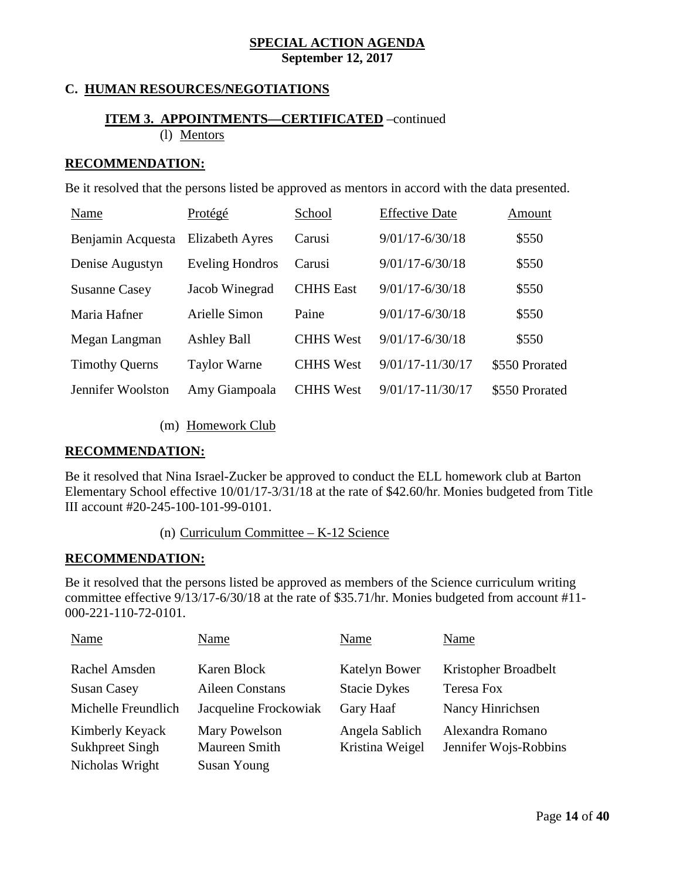## **C. HUMAN RESOURCES/NEGOTIATIONS**

## **ITEM 3. APPOINTMENTS—CERTIFICATED** –continued (l) Mentors

#### **RECOMMENDATION:**

Be it resolved that the persons listed be approved as mentors in accord with the data presented.

| Name                  | Protégé                | School           | <b>Effective Date</b> | Amount         |
|-----------------------|------------------------|------------------|-----------------------|----------------|
| Benjamin Acquesta     | <b>Elizabeth Ayres</b> | Carusi           | $9/01/17 - 6/30/18$   | \$550          |
| Denise Augustyn       | <b>Eveling Hondros</b> | Carusi           | $9/01/17 - 6/30/18$   | \$550          |
| <b>Susanne Casey</b>  | Jacob Winegrad         | <b>CHHS</b> East | $9/01/17 - 6/30/18$   | \$550          |
| Maria Hafner          | Arielle Simon          | Paine            | $9/01/17 - 6/30/18$   | \$550          |
| Megan Langman         | <b>Ashley Ball</b>     | <b>CHHS</b> West | $9/01/17 - 6/30/18$   | \$550          |
| <b>Timothy Querns</b> | <b>Taylor Warne</b>    | <b>CHHS West</b> | $9/01/17 - 11/30/17$  | \$550 Prorated |
| Jennifer Woolston     | Amy Giampoala          | <b>CHHS</b> West | 9/01/17-11/30/17      | \$550 Prorated |

(m) Homework Club

#### **RECOMMENDATION:**

Be it resolved that Nina Israel-Zucker be approved to conduct the ELL homework club at Barton Elementary School effective 10/01/17-3/31/18 at the rate of \$42.60/hr. Monies budgeted from Title III account #20-245-100-101-99-0101.

(n) Curriculum Committee – K-12 Science

#### **RECOMMENDATION:**

Be it resolved that the persons listed be approved as members of the Science curriculum writing committee effective 9/13/17-6/30/18 at the rate of \$35.71/hr. Monies budgeted from account #11- 000-221-110-72-0101.

| Name                | Name                  | Name                 | Name                  |
|---------------------|-----------------------|----------------------|-----------------------|
| Rachel Amsden       | Karen Block           | <b>Katelyn Bower</b> | Kristopher Broadbelt  |
| <b>Susan Casey</b>  | Aileen Constans       | <b>Stacie Dykes</b>  | <b>Teresa Fox</b>     |
| Michelle Freundlich | Jacqueline Frockowiak | Gary Haaf            | Nancy Hinrichsen      |
| Kimberly Keyack     | Mary Powelson         | Angela Sablich       | Alexandra Romano      |
| Sukhpreet Singh     | Maureen Smith         | Kristina Weigel      | Jennifer Wojs-Robbins |
| Nicholas Wright     | <b>Susan Young</b>    |                      |                       |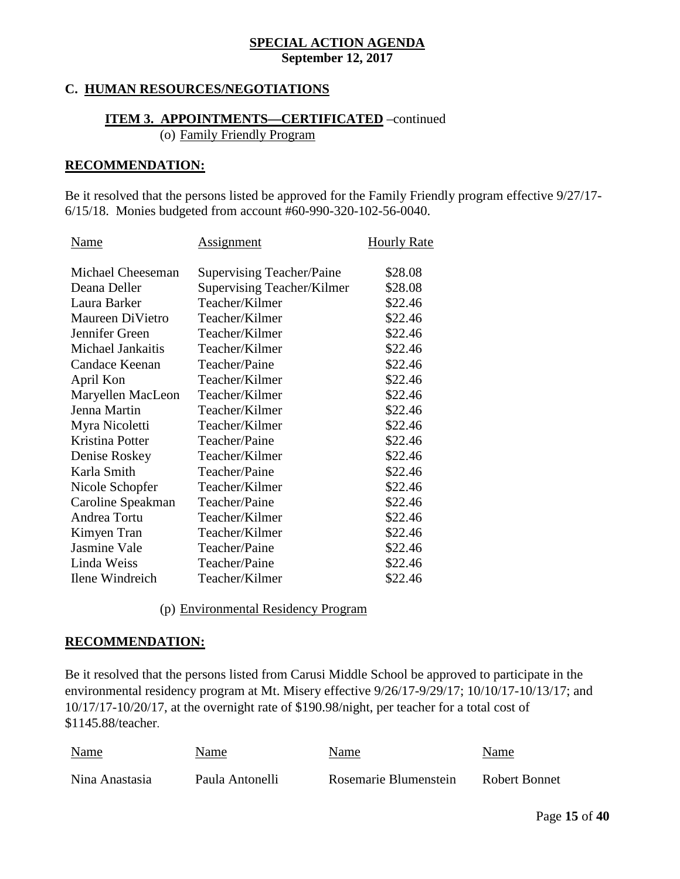## **C. HUMAN RESOURCES/NEGOTIATIONS**

## **ITEM 3. APPOINTMENTS—CERTIFICATED** –continued (o) Family Friendly Program

#### **RECOMMENDATION:**

Be it resolved that the persons listed be approved for the Family Friendly program effective 9/27/17- 6/15/18. Monies budgeted from account #60-990-320-102-56-0040.

| Name                | <u>Assignment</u>                | <b>Hourly Rate</b> |
|---------------------|----------------------------------|--------------------|
|                     |                                  |                    |
| Michael Cheeseman   | <b>Supervising Teacher/Paine</b> | \$28.08            |
| Deana Deller        | Supervising Teacher/Kilmer       | \$28.08            |
| Laura Barker        | Teacher/Kilmer                   | \$22.46            |
| Maureen DiVietro    | Teacher/Kilmer                   | \$22.46            |
| Jennifer Green      | Teacher/Kilmer                   | \$22.46            |
| Michael Jankaitis   | Teacher/Kilmer                   | \$22.46            |
| Candace Keenan      | Teacher/Paine                    | \$22.46            |
| April Kon           | Teacher/Kilmer                   | \$22.46            |
| Maryellen MacLeon   | Teacher/Kilmer                   | \$22.46            |
| Jenna Martin        | Teacher/Kilmer                   | \$22.46            |
| Myra Nicoletti      | Teacher/Kilmer                   | \$22.46            |
| Kristina Potter     | Teacher/Paine                    | \$22.46            |
| Denise Roskey       | Teacher/Kilmer                   | \$22.46            |
| Karla Smith         | Teacher/Paine                    | \$22.46            |
| Nicole Schopfer     | Teacher/Kilmer                   | \$22.46            |
| Caroline Speakman   | Teacher/Paine                    | \$22.46            |
| Andrea Tortu        | Teacher/Kilmer                   | \$22.46            |
| Kimyen Tran         | Teacher/Kilmer                   | \$22.46            |
| <b>Jasmine Vale</b> | Teacher/Paine                    | \$22.46            |
| Linda Weiss         | Teacher/Paine                    | \$22.46            |
| Ilene Windreich     | Teacher/Kilmer                   | \$22.46            |
|                     |                                  |                    |

(p) Environmental Residency Program

#### **RECOMMENDATION:**

Be it resolved that the persons listed from Carusi Middle School be approved to participate in the environmental residency program at Mt. Misery effective 9/26/17-9/29/17; 10/10/17-10/13/17; and 10/17/17-10/20/17, at the overnight rate of \$190.98/night, per teacher for a total cost of \$1145.88/teacher.

| <b>Name</b>    | Name            | Name                  | Name          |
|----------------|-----------------|-----------------------|---------------|
| Nina Anastasia | Paula Antonelli | Rosemarie Blumenstein | Robert Bonnet |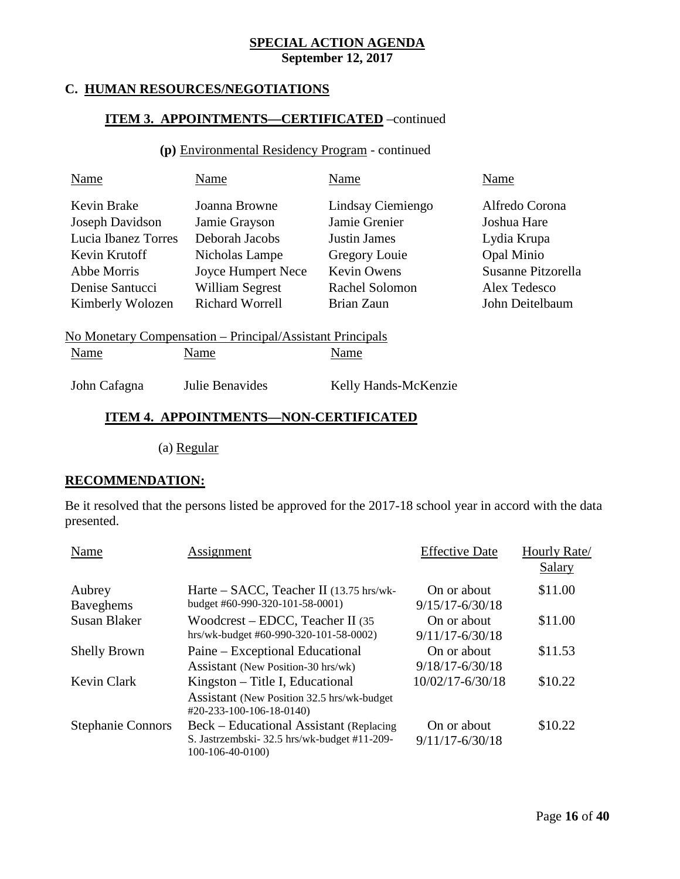## **C. HUMAN RESOURCES/NEGOTIATIONS**

## **ITEM 3. APPOINTMENTS—CERTIFICATED** –continued

## **(p)** Environmental Residency Program - continued

| Name                | Name                                                      | Name                 | Name                      |
|---------------------|-----------------------------------------------------------|----------------------|---------------------------|
| Kevin Brake         | Joanna Browne                                             | Lindsay Ciemiengo    | Alfredo Corona            |
| Joseph Davidson     | Jamie Grayson                                             | Jamie Grenier        | Joshua Hare               |
| Lucia Ibanez Torres | Deborah Jacobs                                            | Justin James         | Lydia Krupa               |
| Kevin Krutoff       | Nicholas Lampe                                            | Gregory Louie        | Opal Minio                |
| Abbe Morris         | <b>Joyce Humpert Nece</b>                                 | Kevin Owens          | <b>Susanne Pitzorella</b> |
| Denise Santucci     | <b>William Segrest</b>                                    | Rachel Solomon       | Alex Tedesco              |
| Kimberly Wolozen    | <b>Richard Worrell</b>                                    | Brian Zaun           | John Deitelbaum           |
|                     | No Monetary Compensation – Principal/Assistant Principals |                      |                           |
| Name                | Name                                                      | Name                 |                           |
| John Cafagna        | Julie Benavides                                           | Kelly Hands-McKenzie |                           |

## **ITEM 4. APPOINTMENTS—NON-CERTIFICATED**

(a) Regular

#### **RECOMMENDATION:**

Be it resolved that the persons listed be approved for the 2017-18 school year in accord with the data presented.

| Name                       | Assignment                                                                                                 | <b>Effective Date</b>              | Hourly Rate/<br><b>Salary</b> |
|----------------------------|------------------------------------------------------------------------------------------------------------|------------------------------------|-------------------------------|
| Aubrey<br><b>Baveghems</b> | Harte – SACC, Teacher II (13.75 hrs/wk-<br>budget #60-990-320-101-58-0001)                                 | On or about<br>$9/15/17 - 6/30/18$ | \$11.00                       |
| <b>Susan Blaker</b>        | Woodcrest – EDCC, Teacher II $(35)$<br>hrs/wk-budget #60-990-320-101-58-0002)                              | On or about<br>$9/11/17 - 6/30/18$ | \$11.00                       |
| <b>Shelly Brown</b>        | Paine – Exceptional Educational<br>Assistant (New Position-30 hrs/wk)                                      | On or about<br>$9/18/17 - 6/30/18$ | \$11.53                       |
| <b>Kevin Clark</b>         | Kingston – Title I, Educational<br>Assistant (New Position 32.5 hrs/wk-budget)<br>#20-233-100-106-18-0140) | 10/02/17-6/30/18                   | \$10.22                       |
| <b>Stephanie Connors</b>   | Beck – Educational Assistant (Replacing<br>S. Jastrzembski-32.5 hrs/wk-budget #11-209-<br>100-106-40-0100) | On or about<br>$9/11/17 - 6/30/18$ | \$10.22                       |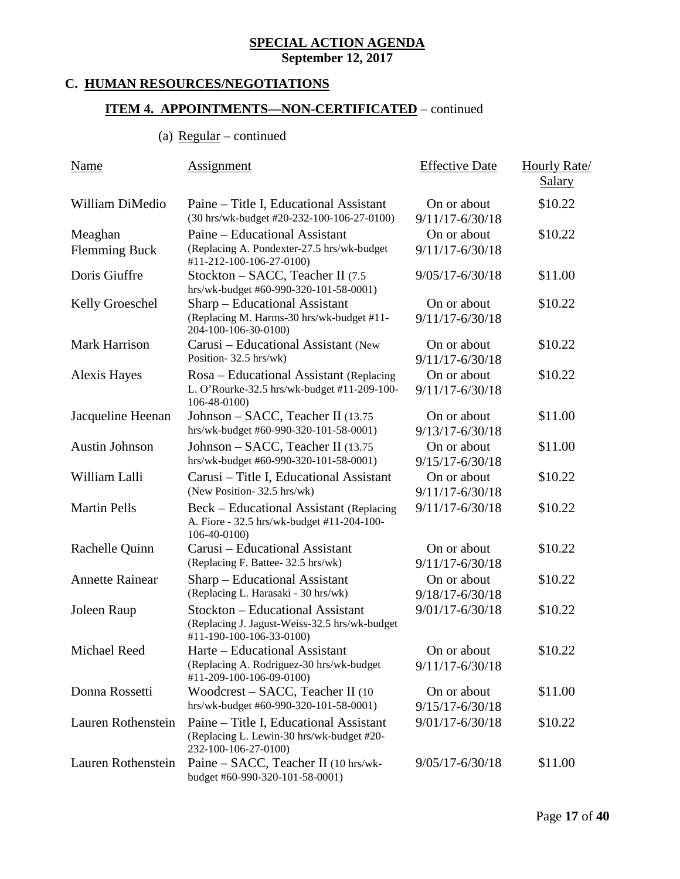## **SPECIAL ACTION AGENDA**

**September 12, 2017**

## **C. HUMAN RESOURCES/NEGOTIATIONS**

## **ITEM 4. APPOINTMENTS—NON-CERTIFICATED** – continued

## (a)  $Regular$  – continued

| Name                            | Assignment                                                                                                           | <b>Effective Date</b>              | <b>Hourly Rate</b><br><b>Salary</b> |
|---------------------------------|----------------------------------------------------------------------------------------------------------------------|------------------------------------|-------------------------------------|
| William DiMedio                 | Paine – Title I, Educational Assistant<br>(30 hrs/wk-budget #20-232-100-106-27-0100)                                 | On or about<br>$9/11/17 - 6/30/18$ | \$10.22                             |
| Meaghan<br><b>Flemming Buck</b> | Paine – Educational Assistant<br>(Replacing A. Pondexter-27.5 hrs/wk-budget<br>#11-212-100-106-27-0100)              | On or about<br>$9/11/17 - 6/30/18$ | \$10.22                             |
| Doris Giuffre                   | Stockton – SACC, Teacher II (7.5)<br>hrs/wk-budget #60-990-320-101-58-0001)                                          | $9/05/17 - 6/30/18$                | \$11.00                             |
| <b>Kelly Groeschel</b>          | Sharp – Educational Assistant<br>(Replacing M. Harms-30 hrs/wk-budget #11-<br>204-100-106-30-0100)                   | On or about<br>$9/11/17 - 6/30/18$ | \$10.22                             |
| <b>Mark Harrison</b>            | Carusi – Educational Assistant (New<br>Position-32.5 hrs/wk)                                                         | On or about<br>$9/11/17 - 6/30/18$ | \$10.22                             |
| <b>Alexis Hayes</b>             | Rosa – Educational Assistant (Replacing<br>L. O'Rourke-32.5 hrs/wk-budget #11-209-100-<br>106-48-0100)               | On or about<br>$9/11/17 - 6/30/18$ | \$10.22                             |
| Jacqueline Heenan               | Johnson – SACC, Teacher II (13.75<br>hrs/wk-budget #60-990-320-101-58-0001)                                          | On or about<br>$9/13/17 - 6/30/18$ | \$11.00                             |
| <b>Austin Johnson</b>           | Johnson - SACC, Teacher II (13.75)<br>hrs/wk-budget #60-990-320-101-58-0001)                                         | On or about<br>$9/15/17 - 6/30/18$ | \$11.00                             |
| William Lalli                   | Carusi – Title I, Educational Assistant<br>(New Position-32.5 hrs/wk)                                                | On or about<br>$9/11/17 - 6/30/18$ | \$10.22                             |
| <b>Martin Pells</b>             | Beck – Educational Assistant (Replacing<br>A. Fiore - 32.5 hrs/wk-budget #11-204-100-<br>106-40-0100)                | $9/11/17 - 6/30/18$                | \$10.22                             |
| Rachelle Quinn                  | Carusi – Educational Assistant<br>(Replacing F. Battee- 32.5 hrs/wk)                                                 | On or about<br>$9/11/17 - 6/30/18$ | \$10.22                             |
| <b>Annette Rainear</b>          | Sharp – Educational Assistant<br>(Replacing L. Harasaki - 30 hrs/wk)                                                 | On or about<br>9/18/17-6/30/18     | \$10.22                             |
| Joleen Raup                     | <b>Stockton - Educational Assistant</b><br>(Replacing J. Jagust-Weiss-32.5 hrs/wk-budget<br>#11-190-100-106-33-0100) | 9/01/17-6/30/18                    | \$10.22                             |
| Michael Reed                    | Harte – Educational Assistant<br>(Replacing A. Rodriguez-30 hrs/wk-budget<br>#11-209-100-106-09-0100)                | On or about<br>$9/11/17 - 6/30/18$ | \$10.22                             |
| Donna Rossetti                  | Woodcrest – SACC, Teacher II (10)<br>hrs/wk-budget #60-990-320-101-58-0001)                                          | On or about<br>$9/15/17 - 6/30/18$ | \$11.00                             |
| Lauren Rothenstein              | Paine – Title I, Educational Assistant<br>(Replacing L. Lewin-30 hrs/wk-budget #20-<br>232-100-106-27-0100)          | $9/01/17 - 6/30/18$                | \$10.22                             |
| Lauren Rothenstein              | Paine – SACC, Teacher II (10 hrs/wk-<br>budget #60-990-320-101-58-0001)                                              | $9/05/17 - 6/30/18$                | \$11.00                             |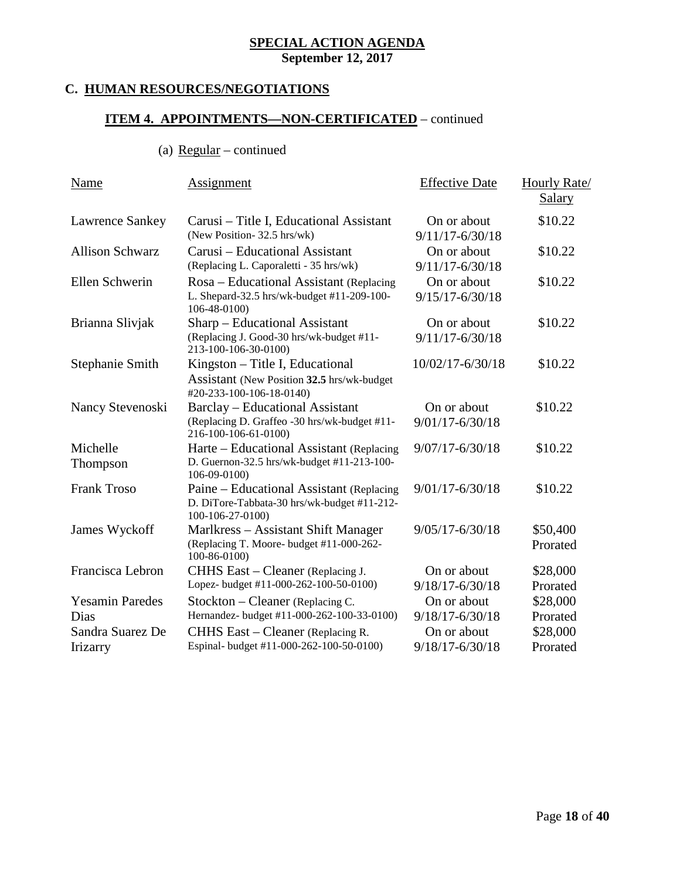## **C. HUMAN RESOURCES/NEGOTIATIONS**

## **ITEM 4. APPOINTMENTS—NON-CERTIFICATED** – continued

(a)  $Regular – continued$ </u>

| Name                                  | Assignment                                                                                                     | <b>Effective Date</b>              | Hourly Rate/         |
|---------------------------------------|----------------------------------------------------------------------------------------------------------------|------------------------------------|----------------------|
|                                       |                                                                                                                |                                    | <b>Salary</b>        |
| Lawrence Sankey                       | Carusi – Title I, Educational Assistant<br>(New Position-32.5 hrs/wk)                                          | On or about<br>$9/11/17 - 6/30/18$ | \$10.22              |
| <b>Allison Schwarz</b>                | Carusi – Educational Assistant<br>(Replacing L. Caporaletti - 35 hrs/wk)                                       | On or about<br>$9/11/17 - 6/30/18$ | \$10.22              |
| Ellen Schwerin                        | Rosa - Educational Assistant (Replacing<br>L. Shepard-32.5 hrs/wk-budget #11-209-100-<br>106-48-0100)          | On or about<br>$9/15/17 - 6/30/18$ | \$10.22              |
| Brianna Slivjak                       | Sharp – Educational Assistant<br>(Replacing J. Good-30 hrs/wk-budget #11-<br>213-100-106-30-0100)              | On or about<br>$9/11/17 - 6/30/18$ | \$10.22              |
| Stephanie Smith                       | Kingston - Title I, Educational<br>Assistant (New Position 32.5 hrs/wk-budget)<br>#20-233-100-106-18-0140)     | 10/02/17-6/30/18                   | \$10.22              |
| Nancy Stevenoski                      | <b>Barclay</b> – Educational Assistant<br>(Replacing D. Graffeo -30 hrs/wk-budget #11-<br>216-100-106-61-0100) | On or about<br>$9/01/17 - 6/30/18$ | \$10.22              |
| Michelle<br>Thompson                  | Harte – Educational Assistant (Replacing<br>D. Guernon-32.5 hrs/wk-budget #11-213-100-<br>106-09-0100)         | $9/07/17 - 6/30/18$                | \$10.22              |
| <b>Frank Troso</b>                    | Paine – Educational Assistant (Replacing<br>D. DiTore-Tabbata-30 hrs/wk-budget #11-212-<br>100-106-27-0100)    | $9/01/17 - 6/30/18$                | \$10.22              |
| James Wyckoff                         | Marlkress – Assistant Shift Manager<br>(Replacing T. Moore- budget #11-000-262-<br>100-86-0100)                | $9/05/17 - 6/30/18$                | \$50,400<br>Prorated |
| Francisca Lebron                      | CHHS East – Cleaner (Replacing J.<br>Lopez- budget #11-000-262-100-50-0100)                                    | On or about<br>$9/18/17 - 6/30/18$ | \$28,000<br>Prorated |
| <b>Yesamin Paredes</b><br><b>Dias</b> | Stockton – Cleaner (Replacing C.<br>Hernandez- budget #11-000-262-100-33-0100)                                 | On or about<br>$9/18/17 - 6/30/18$ | \$28,000<br>Prorated |
| Sandra Suarez De<br>Irizarry          | CHHS East – Cleaner (Replacing R.<br>Espinal-budget #11-000-262-100-50-0100)                                   | On or about<br>9/18/17-6/30/18     | \$28,000<br>Prorated |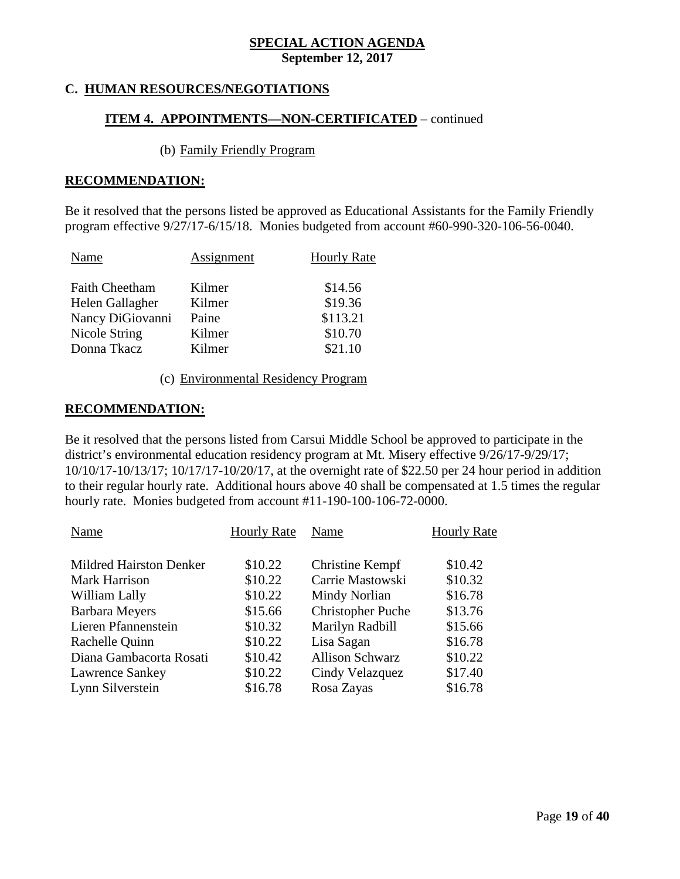## **C. HUMAN RESOURCES/NEGOTIATIONS**

## **ITEM 4. APPOINTMENTS—NON-CERTIFICATED** – continued

#### (b) Family Friendly Program

#### **RECOMMENDATION:**

Be it resolved that the persons listed be approved as Educational Assistants for the Family Friendly program effective 9/27/17-6/15/18. Monies budgeted from account #60-990-320-106-56-0040.

| Assignment | <b>Hourly Rate</b> |
|------------|--------------------|
| Kilmer     | \$14.56            |
| Kilmer     | \$19.36            |
| Paine      | \$113.21           |
| Kilmer     | \$10.70            |
| Kilmer     | \$21.10            |
|            |                    |

(c) Environmental Residency Program

#### **RECOMMENDATION:**

Be it resolved that the persons listed from Carsui Middle School be approved to participate in the district's environmental education residency program at Mt. Misery effective 9/26/17-9/29/17; 10/10/17-10/13/17; 10/17/17-10/20/17, at the overnight rate of \$22.50 per 24 hour period in addition to their regular hourly rate. Additional hours above 40 shall be compensated at 1.5 times the regular hourly rate. Monies budgeted from account #11-190-100-106-72-0000.

| Name                           | <b>Hourly Rate</b> | Name                     | <b>Hourly Rate</b> |
|--------------------------------|--------------------|--------------------------|--------------------|
|                                |                    |                          |                    |
| <b>Mildred Hairston Denker</b> | \$10.22            | Christine Kempf          | \$10.42            |
| <b>Mark Harrison</b>           | \$10.22            | Carrie Mastowski         | \$10.32            |
| William Lally                  | \$10.22            | Mindy Norlian            | \$16.78            |
| <b>Barbara Meyers</b>          | \$15.66            | <b>Christopher Puche</b> | \$13.76            |
| Lieren Pfannenstein            | \$10.32            | Marilyn Radbill          | \$15.66            |
| Rachelle Quinn                 | \$10.22            | Lisa Sagan               | \$16.78            |
| Diana Gambacorta Rosati        | \$10.42            | <b>Allison Schwarz</b>   | \$10.22            |
| Lawrence Sankey                | \$10.22            | Cindy Velazquez          | \$17.40            |
| Lynn Silverstein               | \$16.78            | Rosa Zayas               | \$16.78            |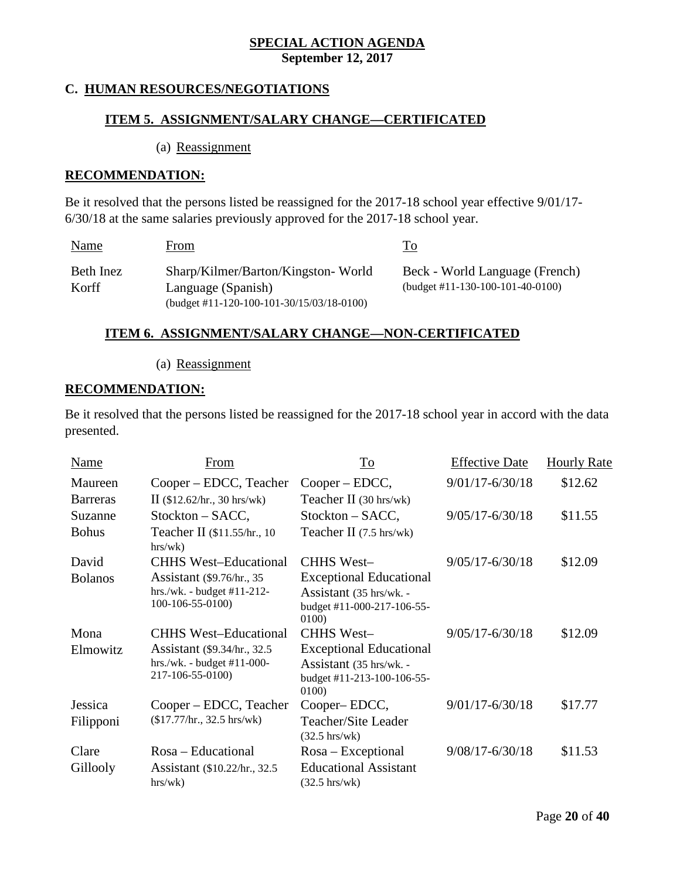## **C. HUMAN RESOURCES/NEGOTIATIONS**

#### **ITEM 5. ASSIGNMENT/SALARY CHANGE—CERTIFICATED**

(a) Reassignment

#### **RECOMMENDATION:**

Be it resolved that the persons listed be reassigned for the 2017-18 school year effective 9/01/17- 6/30/18 at the same salaries previously approved for the 2017-18 school year.

| Name               | From                                                                                                  | Гo                                                                   |
|--------------------|-------------------------------------------------------------------------------------------------------|----------------------------------------------------------------------|
| Beth Inez<br>Korff | Sharp/Kilmer/Barton/Kingston-World<br>Language (Spanish)<br>(budget #11-120-100-101-30/15/03/18-0100) | Beck - World Language (French)<br>$(budget #11-130-100-101-40-0100)$ |

#### **ITEM 6. ASSIGNMENT/SALARY CHANGE—NON-CERTIFICATED**

(a) Reassignment

#### **RECOMMENDATION:**

Be it resolved that the persons listed be reassigned for the 2017-18 school year in accord with the data presented.

| Name            | From                                            | To                                                             | <b>Effective Date</b> | <b>Hourly Rate</b> |
|-----------------|-------------------------------------------------|----------------------------------------------------------------|-----------------------|--------------------|
| Maureen         | Cooper – EDCC, Teacher                          | Cooper – EDCC,                                                 | $9/01/17 - 6/30/18$   | \$12.62            |
| <b>Barreras</b> | II $(\$12.62/hr., 30 hrs/wk)$                   | Teacher II (30 hrs/wk)                                         |                       |                    |
| Suzanne         | $Stockton - SACC,$                              | $Stockton - SACC,$                                             | $9/05/17 - 6/30/18$   | \$11.55            |
| <b>Bohus</b>    | Teacher II (\$11.55/hr., 10)<br>hrs/wk)         | Teacher II $(7.5 \text{ hrs/wk})$                              |                       |                    |
| David           | <b>CHHS West-Educational</b>                    | <b>CHHS West-</b>                                              | $9/05/17 - 6/30/18$   | \$12.09            |
| <b>Bolanos</b>  | Assistant (\$9.76/hr., 35)                      | <b>Exceptional Educational</b>                                 |                       |                    |
|                 | $hrs/wk. - budget #11-212-$<br>100-106-55-0100) | Assistant (35 hrs/wk. -<br>budget #11-000-217-106-55-<br>0100) |                       |                    |
| Mona            | <b>CHHS West-Educational</b>                    | <b>CHHS West-</b>                                              | $9/05/17 - 6/30/18$   | \$12.09            |
| Elmowitz        | Assistant (\$9.34/hr., 32.5)                    | <b>Exceptional Educational</b>                                 |                       |                    |
|                 | $hrs/wk. - budget #11-000-$<br>217-106-55-0100) | Assistant (35 hrs/wk. -<br>budget #11-213-100-106-55-<br>0100) |                       |                    |
| Jessica         | Cooper – EDCC, Teacher                          | Cooper–EDCC,                                                   | $9/01/17 - 6/30/18$   | \$17.77            |
| Filipponi       | (\$17.77/hr., 32.5 hrs/wk)                      | <b>Teacher/Site Leader</b><br>$(32.5 \text{ hrs/wk})$          |                       |                    |
| Clare           | Rosa – Educational                              | $Rosa - Exceptional$                                           | $9/08/17 - 6/30/18$   | \$11.53            |
| Gillooly        | Assistant (\$10.22/hr., 32.5)                   | <b>Educational Assistant</b>                                   |                       |                    |
|                 | hrs/wk)                                         | $(32.5 \text{ hrs}/\text{wk})$                                 |                       |                    |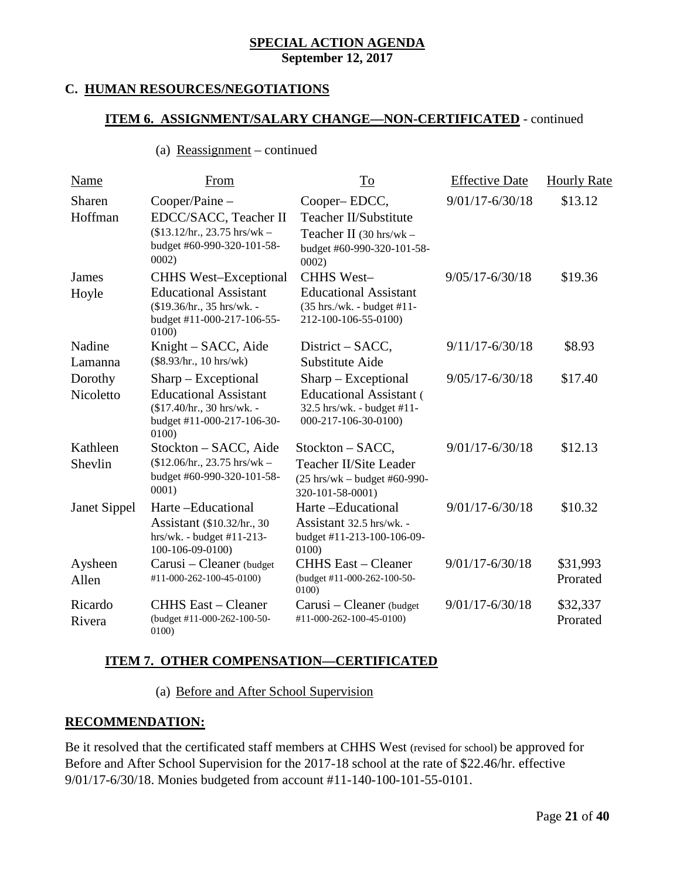## **C. HUMAN RESOURCES/NEGOTIATIONS**

## **ITEM 6. ASSIGNMENT/SALARY CHANGE—NON-CERTIFICATED** - continued

#### (a) Reassignment – continued

| <b>Name</b>          | <b>From</b>                                                                                                               | To                                                                                                                      | <b>Effective Date</b> | <b>Hourly Rate</b>   |
|----------------------|---------------------------------------------------------------------------------------------------------------------------|-------------------------------------------------------------------------------------------------------------------------|-----------------------|----------------------|
| Sharen<br>Hoffman    | Cooper/Paine -<br>EDCC/SACC, Teacher II<br>$$13.12/hr.$ , 23.75 hrs/wk -                                                  | Cooper-EDCC,<br>Teacher II/Substitute<br>Teacher II (30 hrs/wk -                                                        | $9/01/17 - 6/30/18$   | \$13.12              |
| James                | budget #60-990-320-101-58-<br>0002)<br><b>CHHS West-Exceptional</b>                                                       | budget #60-990-320-101-58-<br>0002)<br><b>CHHS West-</b>                                                                | $9/05/17 - 6/30/18$   | \$19.36              |
| Hoyle                | <b>Educational Assistant</b><br>(\$19.36/hr., 35 hrs/wk. -<br>budget #11-000-217-106-55-<br>0100)                         | <b>Educational Assistant</b><br>(35 hrs./wk. - budget #11-<br>212-100-106-55-0100)                                      |                       |                      |
| Nadine<br>Lamanna    | Knight – SACC, Aide<br>$(\$8.93/hr., 10 hrs/wk)$                                                                          | District – SACC,<br>Substitute Aide                                                                                     | $9/11/17 - 6/30/18$   | \$8.93               |
| Dorothy<br>Nicoletto | $Sharp - Exceptional$<br><b>Educational Assistant</b><br>(\$17.40/hr., 30 hrs/wk. -<br>budget #11-000-217-106-30-<br>0100 | Sharp - Exceptional<br><b>Educational Assistant</b> (<br>32.5 hrs/wk. - budget #11-<br>000-217-106-30-0100)             | $9/05/17 - 6/30/18$   | \$17.40              |
| Kathleen<br>Shevlin  | Stockton – SACC, Aide<br>$($12.06/hr., 23.75 hrs/wk -$<br>budget #60-990-320-101-58-<br>0001)                             | Stockton – SACC,<br>Teacher II/Site Leader<br>$(25 \text{ hrs}/\text{wk} - \text{budget} \#60-990-$<br>320-101-58-0001) | $9/01/17 - 6/30/18$   | \$12.13              |
| <b>Janet Sippel</b>  | Harte-Educational<br>Assistant (\$10.32/hr., 30)<br>$hrs/wk. - budget #11-213-$<br>100-106-09-0100)                       | Harte-Educational<br>Assistant 32.5 hrs/wk. -<br>budget #11-213-100-106-09-<br>0100                                     | $9/01/17 - 6/30/18$   | \$10.32              |
| Aysheen<br>Allen     | Carusi – Cleaner (budget<br>#11-000-262-100-45-0100)                                                                      | <b>CHHS East – Cleaner</b><br>(budget #11-000-262-100-50-<br>0100                                                       | $9/01/17 - 6/30/18$   | \$31,993<br>Prorated |
| Ricardo<br>Rivera    | <b>CHHS East – Cleaner</b><br>(budget #11-000-262-100-50-<br>0100)                                                        | Carusi – Cleaner (budget<br>#11-000-262-100-45-0100)                                                                    | $9/01/17 - 6/30/18$   | \$32,337<br>Prorated |

## **ITEM 7. OTHER COMPENSATION—CERTIFICATED**

(a) Before and After School Supervision

### **RECOMMENDATION:**

Be it resolved that the certificated staff members at CHHS West (revised for school) be approved for Before and After School Supervision for the 2017-18 school at the rate of \$22.46/hr. effective 9/01/17-6/30/18. Monies budgeted from account #11-140-100-101-55-0101.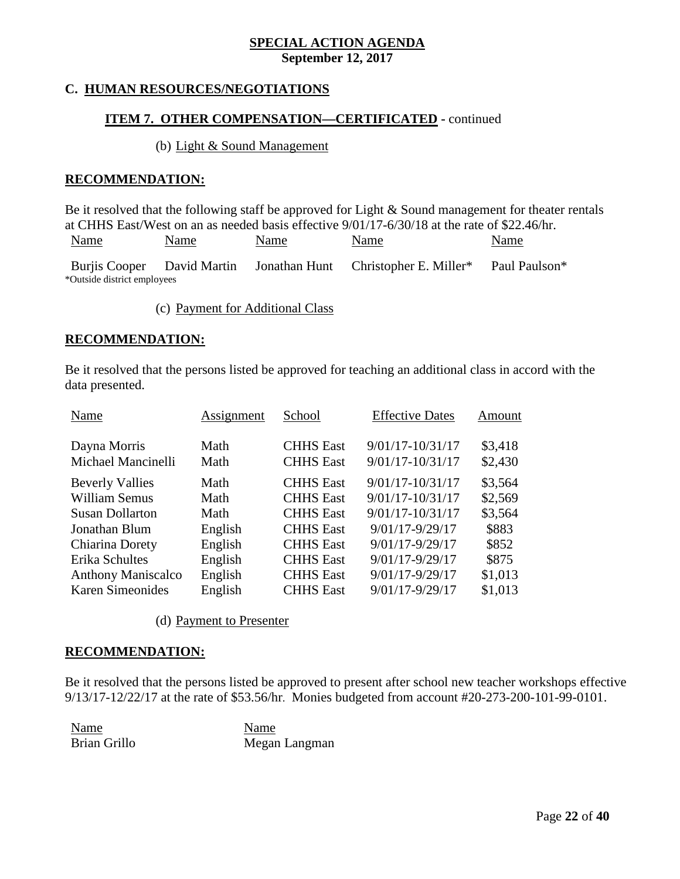## **C. HUMAN RESOURCES/NEGOTIATIONS**

## **ITEM 7. OTHER COMPENSATION—CERTIFICATED -** continued

#### (b) Light & Sound Management

#### **RECOMMENDATION:**

Be it resolved that the following staff be approved for Light & Sound management for theater rentals at CHHS East/West on an as needed basis effective 9/01/17-6/30/18 at the rate of \$22.46/hr.

| <u>Name</u>                 | Name | <u>Name</u> | Name                                                                        | <b>Name</b>   |
|-----------------------------|------|-------------|-----------------------------------------------------------------------------|---------------|
|                             |      |             | Burjis Cooper David Martin Jonathan Hunt Christopher E. Miller <sup>*</sup> | Paul Paulson* |
| *Outside district employees |      |             |                                                                             |               |

(c) Payment for Additional Class

#### **RECOMMENDATION:**

Be it resolved that the persons listed be approved for teaching an additional class in accord with the data presented.

| Name                               | Assignment   | School                               | <b>Effective Dates</b>                   | Amount             |
|------------------------------------|--------------|--------------------------------------|------------------------------------------|--------------------|
| Dayna Morris<br>Michael Mancinelli | Math<br>Math | <b>CHHS East</b><br><b>CHHS East</b> | 9/01/17-10/31/17<br>$9/01/17 - 10/31/17$ | \$3,418<br>\$2,430 |
| <b>Beverly Vallies</b>             | Math         | <b>CHHS East</b>                     | $9/01/17 - 10/31/17$                     | \$3,564            |
| William Semus                      | Math         | <b>CHHS East</b>                     | $9/01/17 - 10/31/17$                     | \$2,569            |
| <b>Susan Dollarton</b>             | Math         | <b>CHHS East</b>                     | $9/01/17 - 10/31/17$                     | \$3,564            |
| Jonathan Blum                      | English      | <b>CHHS</b> East                     | 9/01/17-9/29/17                          | \$883              |
| Chiarina Dorety                    | English      | <b>CHHS East</b>                     | 9/01/17-9/29/17                          | \$852              |
| Erika Schultes                     | English      | <b>CHHS</b> East                     | 9/01/17-9/29/17                          | \$875              |
| <b>Anthony Maniscalco</b>          | English      | <b>CHHS</b> East                     | 9/01/17-9/29/17                          | \$1,013            |
| <b>Karen Simeonides</b>            | English      | <b>CHHS</b> East                     | 9/01/17-9/29/17                          | \$1,013            |
|                                    |              |                                      |                                          |                    |

(d) Payment to Presenter

#### **RECOMMENDATION:**

Be it resolved that the persons listed be approved to present after school new teacher workshops effective 9/13/17-12/22/17 at the rate of \$53.56/hr. Monies budgeted from account #20-273-200-101-99-0101.

Name Name

Brian Grillo Megan Langman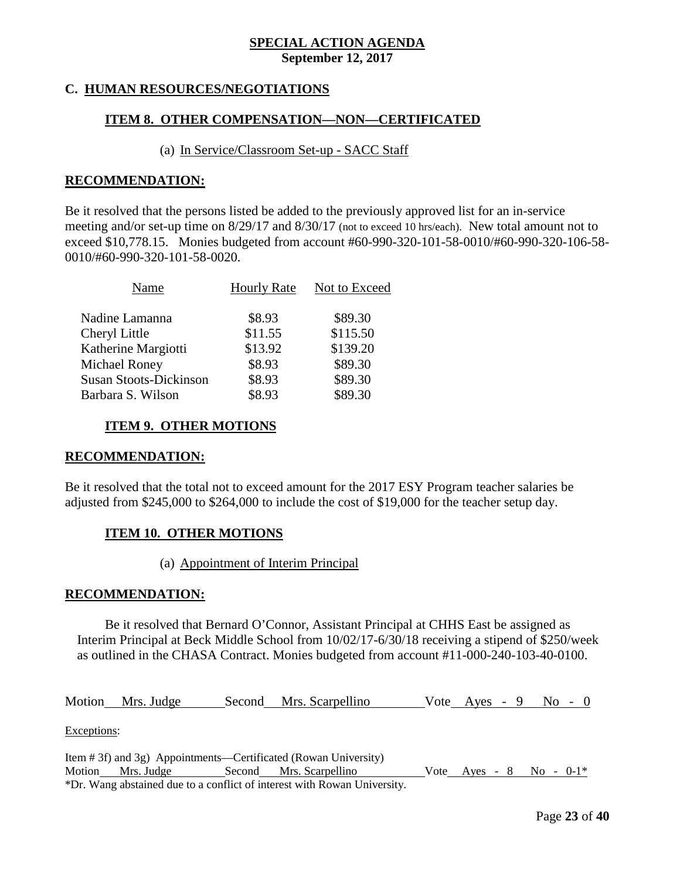## **C. HUMAN RESOURCES/NEGOTIATIONS**

## **ITEM 8. OTHER COMPENSATION—NON—CERTIFICATED**

#### (a) In Service/Classroom Set-up - SACC Staff

#### **RECOMMENDATION:**

Be it resolved that the persons listed be added to the previously approved list for an in-service meeting and/or set-up time on 8/29/17 and 8/30/17 (not to exceed 10 hrs/each). New total amount not to exceed \$10,778.15. Monies budgeted from account #60-990-320-101-58-0010/#60-990-320-106-58- 0010/#60-990-320-101-58-0020.

| Name                          | <b>Hourly Rate</b> | Not to Exceed |
|-------------------------------|--------------------|---------------|
| Nadine Lamanna                | \$8.93             | \$89.30       |
| Cheryl Little                 | \$11.55            | \$115.50      |
| Katherine Margiotti           | \$13.92            | \$139.20      |
| Michael Roney                 | \$8.93             | \$89.30       |
| <b>Susan Stoots-Dickinson</b> | \$8.93             | \$89.30       |
| Barbara S. Wilson             | \$8.93             | \$89.30       |

#### **ITEM 9. OTHER MOTIONS**

#### **RECOMMENDATION:**

Be it resolved that the total not to exceed amount for the 2017 ESY Program teacher salaries be adjusted from \$245,000 to \$264,000 to include the cost of \$19,000 for the teacher setup day.

#### **ITEM 10. OTHER MOTIONS**

#### (a) Appointment of Interim Principal

#### **RECOMMENDATION:**

Be it resolved that Bernard O'Connor, Assistant Principal at CHHS East be assigned as Interim Principal at Beck Middle School from 10/02/17-6/30/18 receiving a stipend of \$250/week as outlined in the CHASA Contract. Monies budgeted from account #11-000-240-103-40-0100.

Motion Mrs. Judge Second Mrs. Scarpellino Vote Ayes - 9 No - 0

Exceptions:

Item # 3f) and 3g) Appointments—Certificated (Rowan University) Motion Mrs. Judge Second Mrs. Scarpellino Vote Ayes - 8 No - 0-1\* \*Dr. Wang abstained due to a conflict of interest with Rowan University.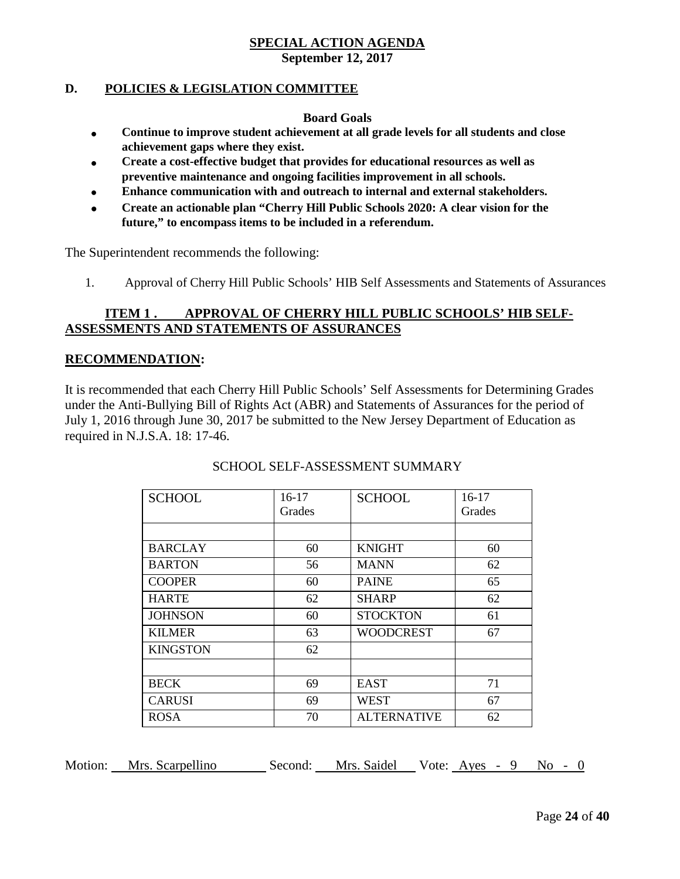# **SPECIAL ACTION AGENDA**

## **September 12, 2017**

#### **D. POLICIES & LEGISLATION COMMITTEE**

#### **Board Goals**

- **Continue to improve student achievement at all grade levels for all students and close achievement gaps where they exist.**
- **Create a cost-effective budget that provides for educational resources as well as preventive maintenance and ongoing facilities improvement in all schools.**
- **Enhance communication with and outreach to internal and external stakeholders.**
- **Create an actionable plan "Cherry Hill Public Schools 2020: A clear vision for the future," to encompass items to be included in a referendum.**

The Superintendent recommends the following:

1. Approval of Cherry Hill Public Schools' HIB Self Assessments and Statements of Assurances

## **ITEM 1 . APPROVAL OF CHERRY HILL PUBLIC SCHOOLS' HIB SELF-ASSESSMENTS AND STATEMENTS OF ASSURANCES**

#### **RECOMMENDATION:**

It is recommended that each Cherry Hill Public Schools' Self Assessments for Determining Grades under the Anti-Bullying Bill of Rights Act (ABR) and Statements of Assurances for the period of July 1, 2016 through June 30, 2017 be submitted to the New Jersey Department of Education as required in N.J.S.A. 18: 17-46.

| <b>SCHOOL</b>   | $16-17$ | <b>SCHOOL</b>      | $16-17$ |
|-----------------|---------|--------------------|---------|
|                 | Grades  |                    | Grades  |
|                 |         |                    |         |
| <b>BARCLAY</b>  | 60      | <b>KNIGHT</b>      | 60      |
| <b>BARTON</b>   | 56      | <b>MANN</b>        | 62      |
| <b>COOPER</b>   | 60      | <b>PAINE</b>       | 65      |
| <b>HARTE</b>    | 62      | <b>SHARP</b>       | 62      |
| <b>JOHNSON</b>  | 60      | <b>STOCKTON</b>    | 61      |
| <b>KILMER</b>   | 63      | <b>WOODCREST</b>   | 67      |
| <b>KINGSTON</b> | 62      |                    |         |
|                 |         |                    |         |
| <b>BECK</b>     | 69      | <b>EAST</b>        | 71      |
| <b>CARUSI</b>   | 69      | <b>WEST</b>        | 67      |
| <b>ROSA</b>     | 70      | <b>ALTERNATIVE</b> | 62      |

#### SCHOOL SELF-ASSESSMENT SUMMARY

Motion: Mrs. Scarpellino Second: Mrs. Saidel Vote: Ayes - 9 No - 0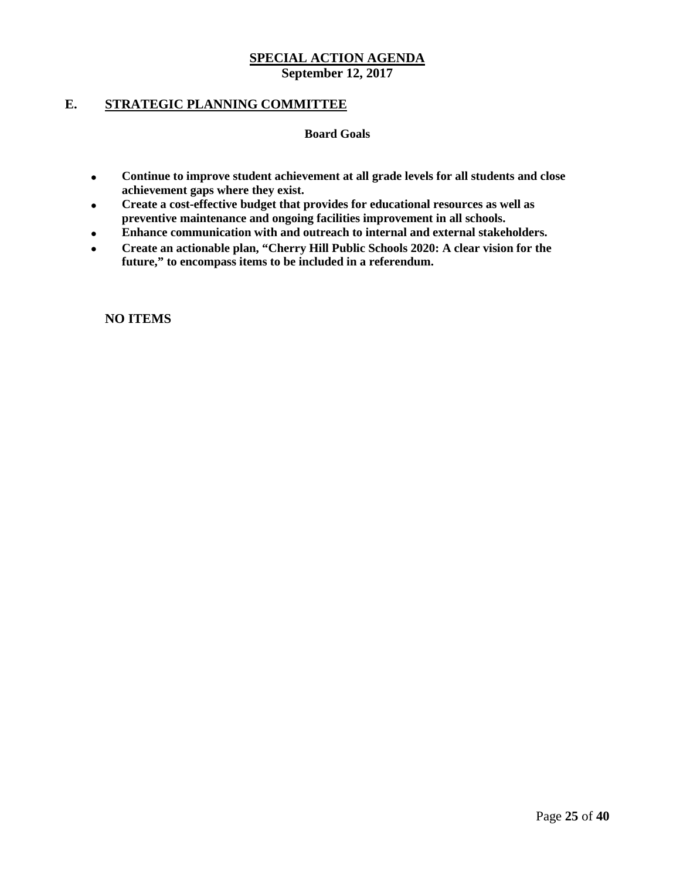## **E. STRATEGIC PLANNING COMMITTEE**

#### **Board Goals**

- **Continue to improve student achievement at all grade levels for all students and close achievement gaps where they exist.**
- **Create a cost-effective budget that provides for educational resources as well as preventive maintenance and ongoing facilities improvement in all schools.**
- **Enhance communication with and outreach to internal and external stakeholders.**
- **Create an actionable plan, "Cherry Hill Public Schools 2020: A clear vision for the future," to encompass items to be included in a referendum.**

**NO ITEMS**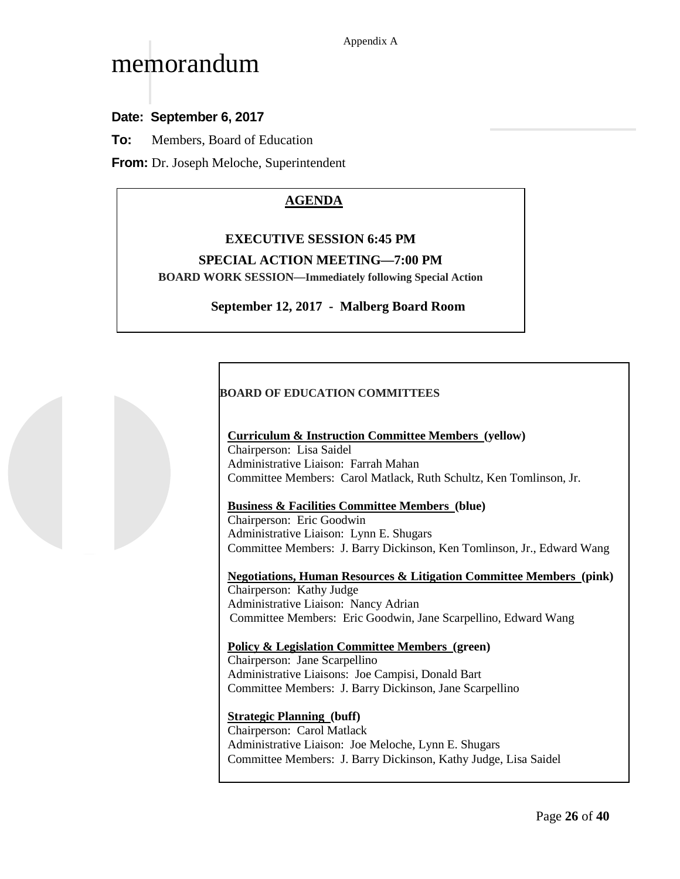# memorandum

## **Date: September 6, 2017**

**To:** Members, Board of Education

**From:** Dr. Joseph Meloche, Superintendent

## **AGENDA**

#### **EXECUTIVE SESSION 6:45 PM**

#### **SPECIAL ACTION MEETING—7:00 PM**

**BOARD WORK SESSION—Immediately following Special Action**

#### **September 12, 2017 - Malberg Board Room**

#### **BOARD OF EDUCATION COMMITTEES**

#### **Curriculum & Instruction Committee Members (yellow)**

Chairperson: Lisa Saidel Administrative Liaison: Farrah Mahan Committee Members: Carol Matlack, Ruth Schultz, Ken Tomlinson, Jr.

#### **Business & Facilities Committee Members (blue)**

Chairperson: Eric Goodwin Administrative Liaison: Lynn E. Shugars Committee Members: J. Barry Dickinson, Ken Tomlinson, Jr., Edward Wang

**Negotiations, Human Resources & Litigation Committee Members (pink)** Chairperson: Kathy Judge Administrative Liaison: Nancy Adrian

Committee Members: Eric Goodwin, Jane Scarpellino, Edward Wang

#### **Policy & Legislation Committee Members (green)**

Chairperson: Jane Scarpellino Administrative Liaisons: Joe Campisi, Donald Bart Committee Members: J. Barry Dickinson, Jane Scarpellino

**Strategic Planning (buff)** Chairperson: Carol Matlack Administrative Liaison: Joe Meloche, Lynn E. Shugars Committee Members: J. Barry Dickinson, Kathy Judge, Lisa Saidel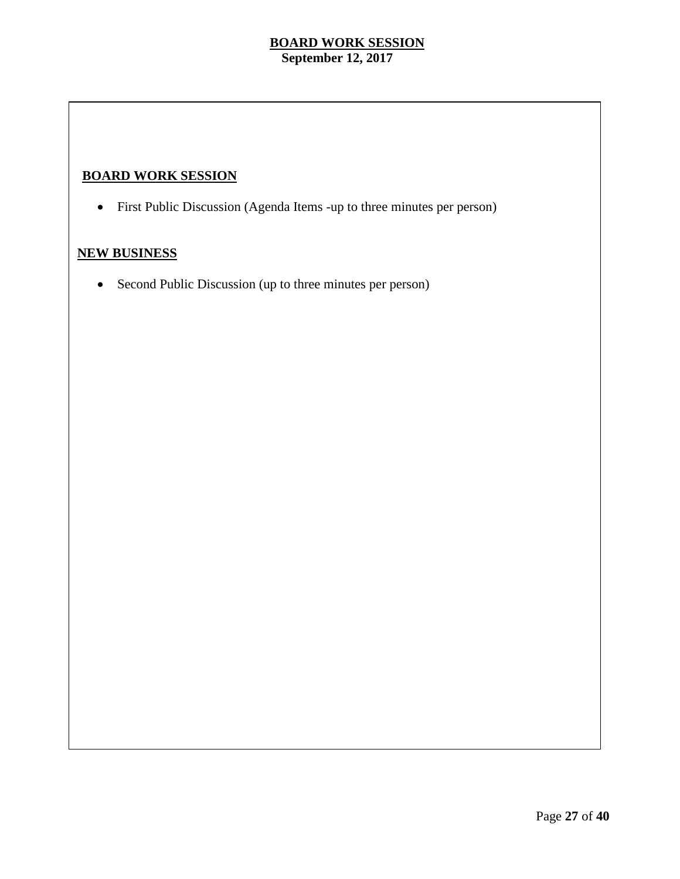## **BOARD WORK SESSION**

• First Public Discussion (Agenda Items -up to three minutes per person)

## **NEW BUSINESS**

• Second Public Discussion (up to three minutes per person)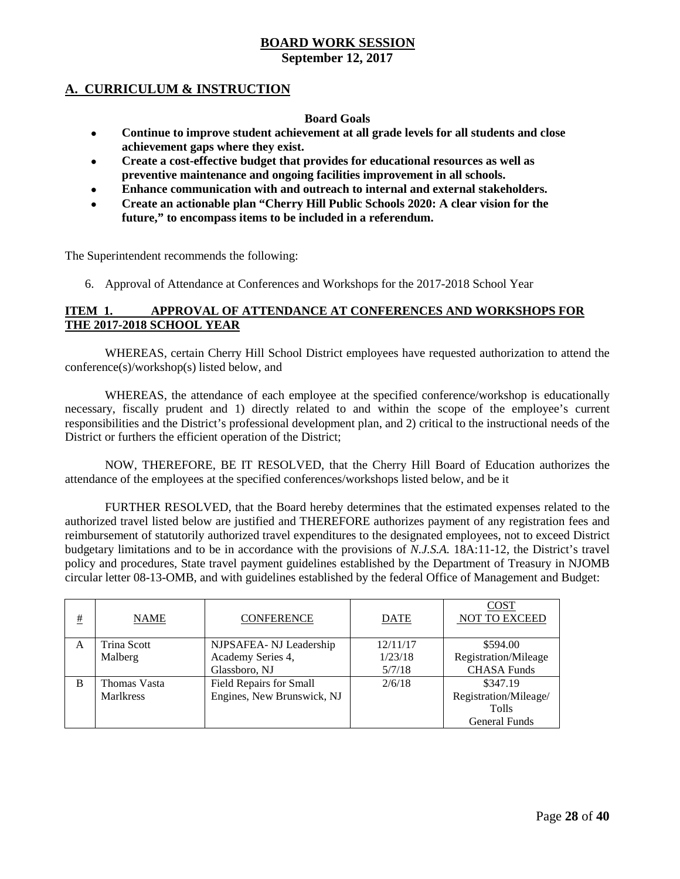## **BOARD WORK SESSION**

**September 12, 2017**

## **A. CURRICULUM & INSTRUCTION**

#### **Board Goals**

- **Continue to improve student achievement at all grade levels for all students and close achievement gaps where they exist.**
- **Create a cost-effective budget that provides for educational resources as well as preventive maintenance and ongoing facilities improvement in all schools.**
- **Enhance communication with and outreach to internal and external stakeholders.**
- **Create an actionable plan "Cherry Hill Public Schools 2020: A clear vision for the future," to encompass items to be included in a referendum.**

The Superintendent recommends the following:

6. Approval of Attendance at Conferences and Workshops for the 2017-2018 School Year

#### **ITEM 1. APPROVAL OF ATTENDANCE AT CONFERENCES AND WORKSHOPS FOR THE 2017-2018 SCHOOL YEAR**

WHEREAS, certain Cherry Hill School District employees have requested authorization to attend the conference(s)/workshop(s) listed below, and

WHEREAS, the attendance of each employee at the specified conference/workshop is educationally necessary, fiscally prudent and 1) directly related to and within the scope of the employee's current responsibilities and the District's professional development plan, and 2) critical to the instructional needs of the District or furthers the efficient operation of the District;

NOW, THEREFORE, BE IT RESOLVED, that the Cherry Hill Board of Education authorizes the attendance of the employees at the specified conferences/workshops listed below, and be it

FURTHER RESOLVED, that the Board hereby determines that the estimated expenses related to the authorized travel listed below are justified and THEREFORE authorizes payment of any registration fees and reimbursement of statutorily authorized travel expenditures to the designated employees, not to exceed District budgetary limitations and to be in accordance with the provisions of *N.J.S.A.* 18A:11-12, the District's travel policy and procedures, State travel payment guidelines established by the Department of Treasury in NJOMB circular letter 08-13-OMB, and with guidelines established by the federal Office of Management and Budget:

| # | <b>NAME</b>      | <b>CONFERENCE</b>              | <b>DATE</b> | <b>COST</b><br>NOT TO EXCEED |
|---|------------------|--------------------------------|-------------|------------------------------|
| A | Trina Scott      | NJPSAFEA-NJ Leadership         | 12/11/17    | \$594.00                     |
|   | Malberg          | Academy Series 4,              | 1/23/18     | Registration/Mileage         |
|   |                  | Glassboro, NJ                  | 5/7/18      | <b>CHASA Funds</b>           |
| B | Thomas Vasta     | <b>Field Repairs for Small</b> | 2/6/18      | \$347.19                     |
|   | <b>Marlkress</b> | Engines, New Brunswick, NJ     |             | Registration/Mileage/        |
|   |                  |                                |             | <b>Tolls</b>                 |
|   |                  |                                |             | <b>General Funds</b>         |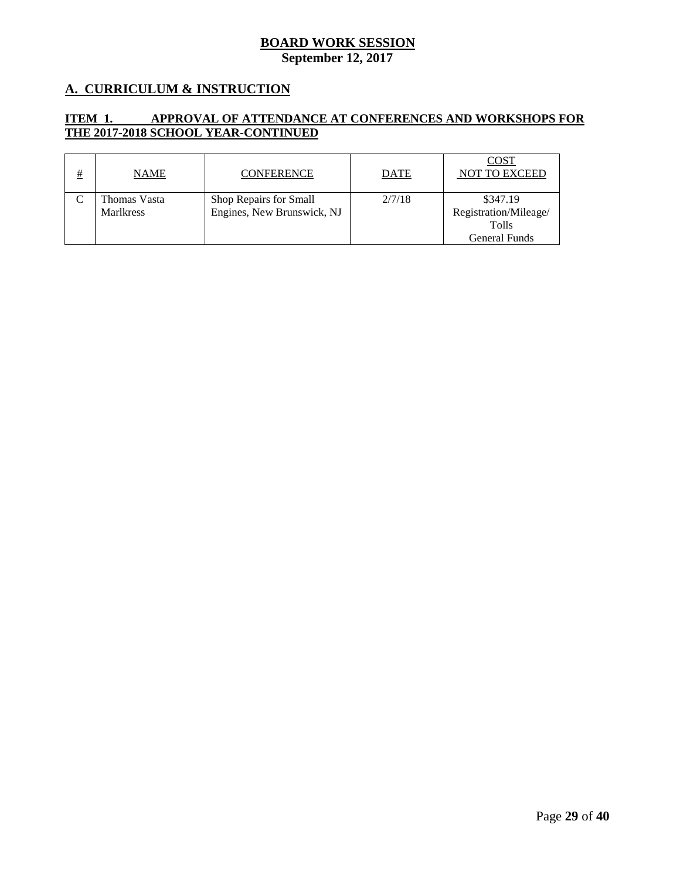## **A. CURRICULUM & INSTRUCTION**

#### **ITEM 1. APPROVAL OF ATTENDANCE AT CONFERENCES AND WORKSHOPS FOR THE 2017-2018 SCHOOL YEAR-CONTINUED**

| # | <b>NAME</b>      | <b>CONFERENCE</b>          | <b>DATE</b> | <b>COST</b><br>NOT TO EXCEED |
|---|------------------|----------------------------|-------------|------------------------------|
|   | Thomas Vasta     | Shop Repairs for Small     | 2/7/18      | \$347.19                     |
|   | <b>Marlkress</b> | Engines, New Brunswick, NJ |             | Registration/Mileage/        |
|   |                  |                            |             | <b>Tolls</b>                 |
|   |                  |                            |             | General Funds                |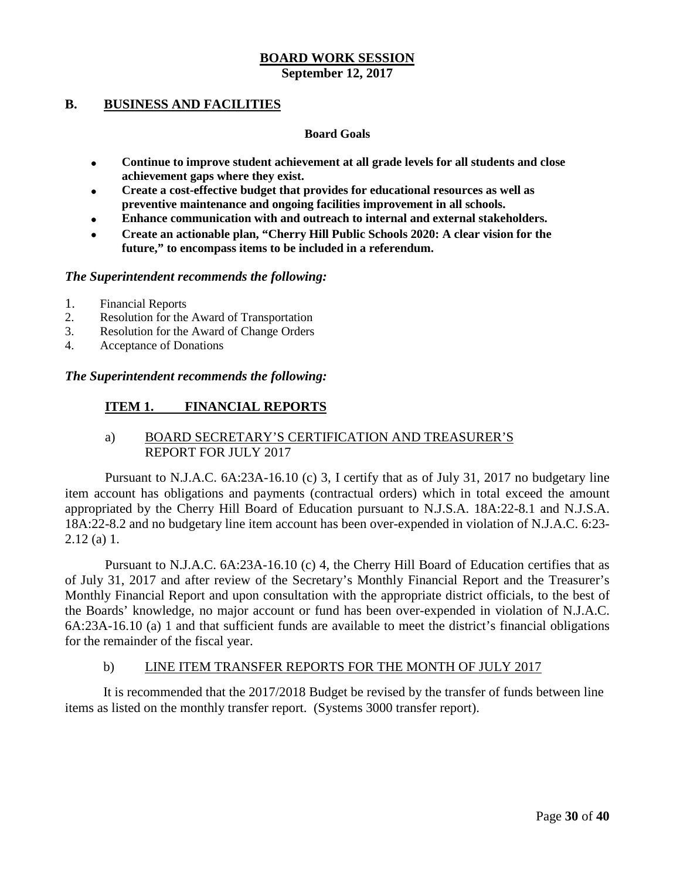## **B. BUSINESS AND FACILITIES**

#### **Board Goals**

- **Continue to improve student achievement at all grade levels for all students and close achievement gaps where they exist.**
- **Create a cost-effective budget that provides for educational resources as well as preventive maintenance and ongoing facilities improvement in all schools.**
- **Enhance communication with and outreach to internal and external stakeholders.**
- **Create an actionable plan, "Cherry Hill Public Schools 2020: A clear vision for the future," to encompass items to be included in a referendum.**

#### *The Superintendent recommends the following:*

- 1. Financial Reports<br>2. Resolution for the
- 2. Resolution for the Award of Transportation
- 3. Resolution for the Award of Change Orders
- 4. Acceptance of Donations

#### *The Superintendent recommends the following:*

## **ITEM 1. FINANCIAL REPORTS**

## a) BOARD SECRETARY'S CERTIFICATION AND TREASURER'S REPORT FOR JULY 2017

Pursuant to N.J.A.C. 6A:23A-16.10 (c) 3, I certify that as of July 31, 2017 no budgetary line item account has obligations and payments (contractual orders) which in total exceed the amount appropriated by the Cherry Hill Board of Education pursuant to N.J.S.A. 18A:22-8.1 and N.J.S.A. 18A:22-8.2 and no budgetary line item account has been over-expended in violation of N.J.A.C. 6:23- 2.12 (a) 1.

Pursuant to N.J.A.C. 6A:23A-16.10 (c) 4, the Cherry Hill Board of Education certifies that as of July 31, 2017 and after review of the Secretary's Monthly Financial Report and the Treasurer's Monthly Financial Report and upon consultation with the appropriate district officials, to the best of the Boards' knowledge, no major account or fund has been over-expended in violation of N.J.A.C. 6A:23A-16.10 (a) 1 and that sufficient funds are available to meet the district's financial obligations for the remainder of the fiscal year.

#### b) LINE ITEM TRANSFER REPORTS FOR THE MONTH OF JULY 2017

It is recommended that the 2017/2018 Budget be revised by the transfer of funds between line items as listed on the monthly transfer report. (Systems 3000 transfer report).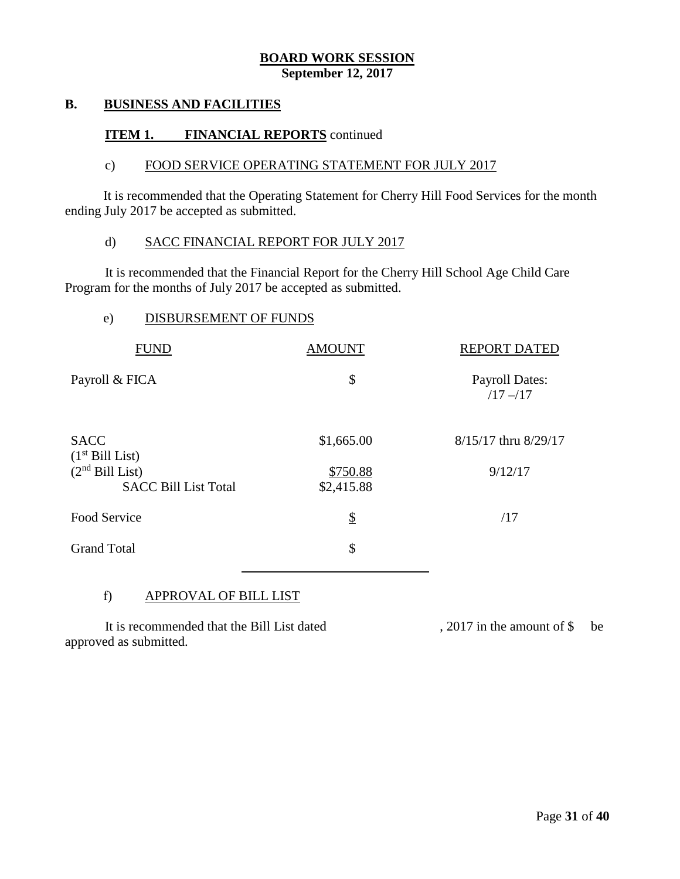#### **B. BUSINESS AND FACILITIES**

#### **ITEM 1. FINANCIAL REPORTS** continued

#### c) FOOD SERVICE OPERATING STATEMENT FOR JULY 2017

It is recommended that the Operating Statement for Cherry Hill Food Services for the month ending July 2017 be accepted as submitted.

#### d) SACC FINANCIAL REPORT FOR JULY 2017

It is recommended that the Financial Report for the Cherry Hill School Age Child Care Program for the months of July 2017 be accepted as submitted.

#### e) DISBURSEMENT OF FUNDS

| <b>FUND</b>                                      | <b>AMOUNT</b>          | <b>REPORT DATED</b>                  |
|--------------------------------------------------|------------------------|--------------------------------------|
| Payroll & FICA                                   | \$                     | <b>Payroll Dates:</b><br>$/17 - /17$ |
| <b>SACC</b><br>(1 <sup>st</sup> Bill List)       | \$1,665.00             | 8/15/17 thru 8/29/17                 |
| $(2nd$ Bill List)<br><b>SACC Bill List Total</b> | \$750.88<br>\$2,415.88 | 9/12/17                              |
| Food Service                                     | $\frac{1}{2}$          | /17                                  |
| <b>Grand Total</b>                               | \$                     |                                      |

#### f) APPROVAL OF BILL LIST

It is recommended that the Bill List dated , 2017 in the amount of \$ be approved as submitted.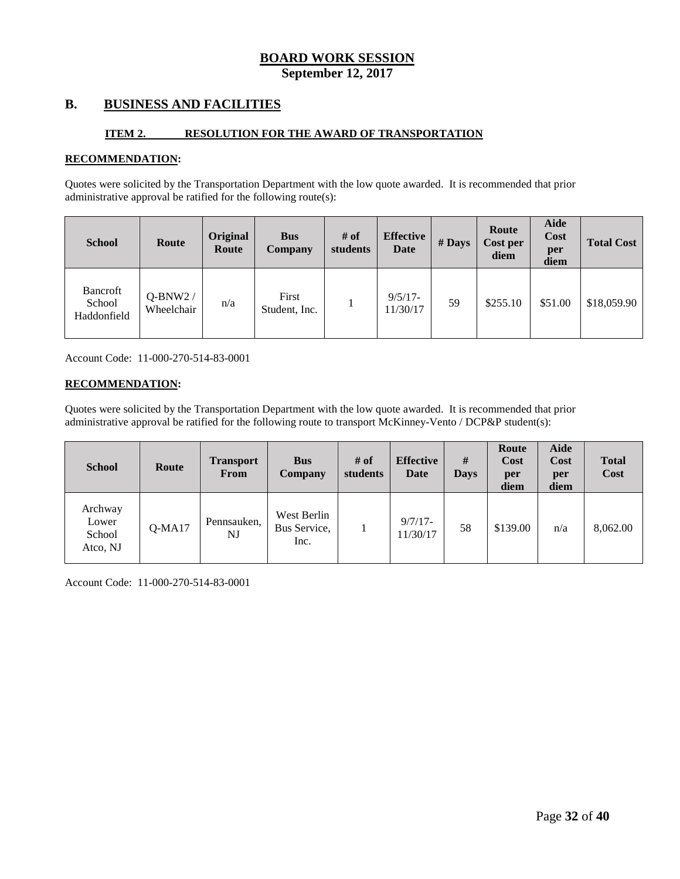#### **B. BUSINESS AND FACILITIES**

#### **ITEM 2. RESOLUTION FOR THE AWARD OF TRANSPORTATION**

#### **RECOMMENDATION:**

Quotes were solicited by the Transportation Department with the low quote awarded. It is recommended that prior administrative approval be ratified for the following route(s):

| <b>School</b>                     | Route                   | Original<br>Route | <b>Bus</b><br><b>Company</b> | # of<br>students | <b>Effective</b><br>Date | $#$ Days | Route<br>Cost per<br>diem | Aide<br>Cost<br>per<br>diem | <b>Total Cost</b> |
|-----------------------------------|-------------------------|-------------------|------------------------------|------------------|--------------------------|----------|---------------------------|-----------------------------|-------------------|
| Bancroft<br>School<br>Haddonfield | $Q-BNW2/$<br>Wheelchair | n/a               | First<br>Student, Inc.       |                  | $9/5/17$ -<br>11/30/17   | 59       | \$255.10                  | \$51.00                     | \$18,059.90       |

Account Code: 11-000-270-514-83-0001

#### **RECOMMENDATION:**

Quotes were solicited by the Transportation Department with the low quote awarded. It is recommended that prior administrative approval be ratified for the following route to transport McKinney-Vento / DCP&P student(s):

| <b>School</b>                          | Route    | <b>Transport</b><br>From | <b>Bus</b><br>Company               | # of<br>students | <b>Effective</b><br>Date | #<br><b>Days</b> | Route<br>Cost<br>per<br>diem | Aide<br>Cost<br>per<br>diem | <b>Total</b><br>Cost |
|----------------------------------------|----------|--------------------------|-------------------------------------|------------------|--------------------------|------------------|------------------------------|-----------------------------|----------------------|
| Archway<br>Lower<br>School<br>Atco, NJ | $Q-MA17$ | Pennsauken,<br>NJ        | West Berlin<br>Bus Service,<br>Inc. |                  | $9/7/17$ -<br>11/30/17   | 58               | \$139.00                     | n/a                         | 8,062.00             |

Account Code: 11-000-270-514-83-0001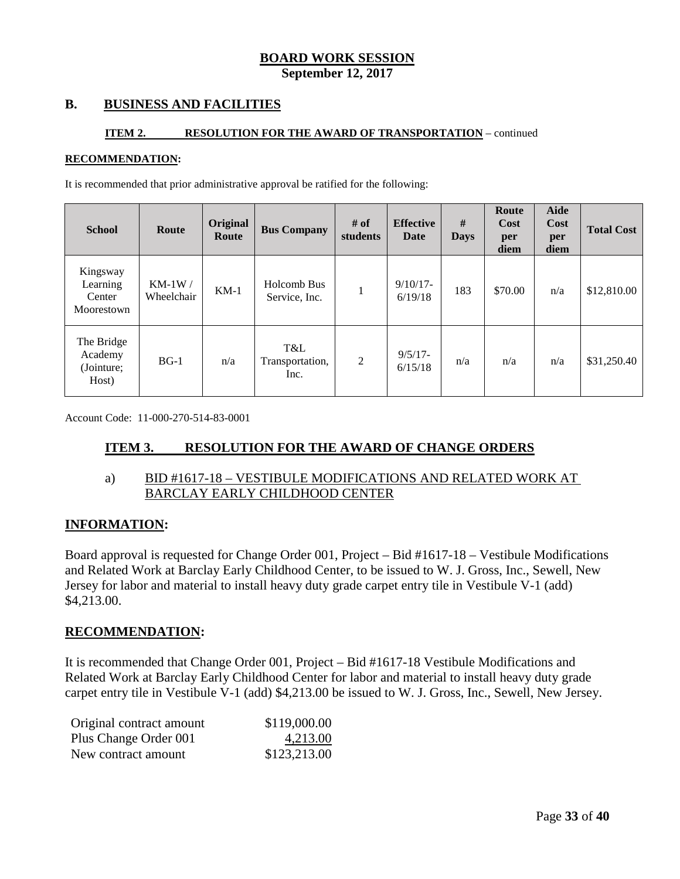## **B. BUSINESS AND FACILITIES**

#### **ITEM 2. RESOLUTION FOR THE AWARD OF TRANSPORTATION** – continued

#### **RECOMMENDATION:**

It is recommended that prior administrative approval be ratified for the following:

| <b>School</b>                                | Route                  | Original<br>Route | <b>Bus Company</b>             | # of<br>students | <b>Effective</b><br>Date | #<br><b>Days</b> | Route<br>Cost<br>per<br>diem | <b>Aide</b><br>Cost<br>per<br>diem | <b>Total Cost</b> |
|----------------------------------------------|------------------------|-------------------|--------------------------------|------------------|--------------------------|------------------|------------------------------|------------------------------------|-------------------|
| Kingsway<br>Learning<br>Center<br>Moorestown | $KM-1W/$<br>Wheelchair | $KM-1$            | Holcomb Bus<br>Service, Inc.   | $\mathbf{1}$     | $9/10/17$ -<br>6/19/18   | 183              | \$70.00                      | n/a                                | \$12,810.00       |
| The Bridge<br>Academy<br>(Jointure;<br>Host) | $BG-1$                 | n/a               | T&L<br>Transportation,<br>Inc. | $\overline{2}$   | $9/5/17$ -<br>6/15/18    | n/a              | n/a                          | n/a                                | \$31,250.40       |

Account Code: 11-000-270-514-83-0001

#### **ITEM 3. RESOLUTION FOR THE AWARD OF CHANGE ORDERS**

#### a) BID #1617-18 – VESTIBULE MODIFICATIONS AND RELATED WORK AT BARCLAY EARLY CHILDHOOD CENTER

#### **INFORMATION:**

Board approval is requested for Change Order 001, Project – Bid #1617-18 – Vestibule Modifications and Related Work at Barclay Early Childhood Center, to be issued to W. J. Gross, Inc., Sewell, New Jersey for labor and material to install heavy duty grade carpet entry tile in Vestibule V-1 (add) \$4,213.00.

#### **RECOMMENDATION:**

It is recommended that Change Order 001, Project – Bid #1617-18 Vestibule Modifications and Related Work at Barclay Early Childhood Center for labor and material to install heavy duty grade carpet entry tile in Vestibule V-1 (add) \$4,213.00 be issued to W. J. Gross, Inc., Sewell, New Jersey.

| Original contract amount | \$119,000.00 |
|--------------------------|--------------|
| Plus Change Order 001    | 4,213.00     |
| New contract amount      | \$123,213.00 |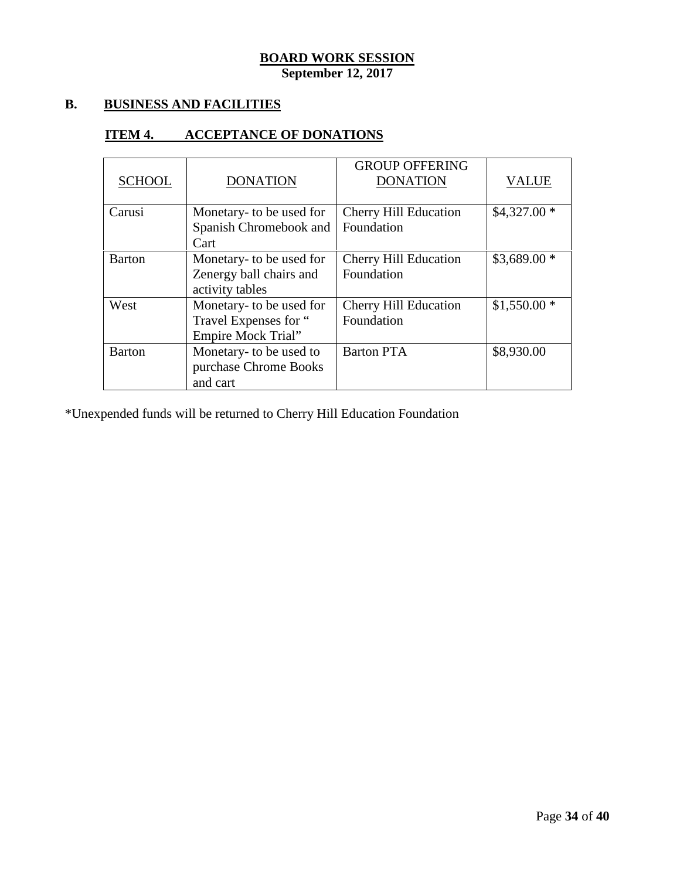## **B. BUSINESS AND FACILITIES**

## **ITEM 4. ACCEPTANCE OF DONATIONS**

| <b>SCHOOL</b> | <b>DONATION</b>                                                                | <b>GROUP OFFERING</b><br><b>DONATION</b>   | <b>VALUE</b> |
|---------------|--------------------------------------------------------------------------------|--------------------------------------------|--------------|
| Carusi        | Monetary- to be used for<br>Spanish Chromebook and<br>Cart                     | <b>Cherry Hill Education</b><br>Foundation | $$4,327.00*$ |
| <b>Barton</b> | Monetary- to be used for<br>Zenergy ball chairs and<br>activity tables         | <b>Cherry Hill Education</b><br>Foundation | $$3,689.00*$ |
| West          | Monetary- to be used for<br>Travel Expenses for "<br><b>Empire Mock Trial"</b> | <b>Cherry Hill Education</b><br>Foundation | $$1,550.00*$ |
| <b>Barton</b> | Monetary- to be used to<br>purchase Chrome Books<br>and cart                   | <b>Barton PTA</b>                          | \$8,930.00   |

\*Unexpended funds will be returned to Cherry Hill Education Foundation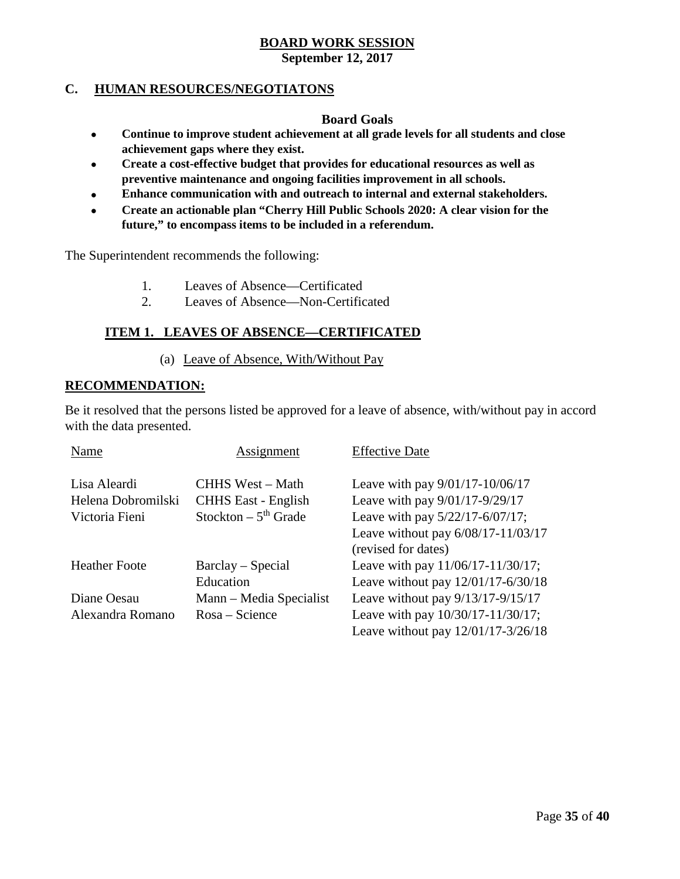# **BOARD WORK SESSION**

## **September 12, 2017**

## **C. HUMAN RESOURCES/NEGOTIATONS**

#### **Board Goals**

- **Continue to improve student achievement at all grade levels for all students and close achievement gaps where they exist.**
- **Create a cost-effective budget that provides for educational resources as well as preventive maintenance and ongoing facilities improvement in all schools.**
- **Enhance communication with and outreach to internal and external stakeholders.**
- **Create an actionable plan "Cherry Hill Public Schools 2020: A clear vision for the future," to encompass items to be included in a referendum.**

The Superintendent recommends the following:

- 1. Leaves of Absence—Certificated
- 2. Leaves of Absence—Non-Certificated

## **ITEM 1. LEAVES OF ABSENCE—CERTIFICATED**

#### (a) Leave of Absence, With/Without Pay

#### **RECOMMENDATION:**

Be it resolved that the persons listed be approved for a leave of absence, with/without pay in accord with the data presented.

| Name                 | Assignment                        | <b>Effective Date</b>               |
|----------------------|-----------------------------------|-------------------------------------|
| Lisa Aleardi         | CHHS West – Math                  | Leave with pay $9/01/17 - 10/06/17$ |
| Helena Dobromilski   | <b>CHHS East - English</b>        | Leave with pay 9/01/17-9/29/17      |
| Victoria Fieni       | Stockton $-5$ <sup>th</sup> Grade | Leave with pay 5/22/17-6/07/17;     |
|                      |                                   | Leave without pay 6/08/17-11/03/17  |
|                      |                                   | (revised for dates)                 |
| <b>Heather Foote</b> | Barclay – Special                 | Leave with pay 11/06/17-11/30/17;   |
|                      | Education                         | Leave without pay 12/01/17-6/30/18  |
| Diane Oesau          | Mann – Media Specialist           | Leave without pay $9/13/17-9/15/17$ |
| Alexandra Romano     | $Rosa - Science$                  | Leave with pay 10/30/17-11/30/17;   |
|                      |                                   | Leave without pay 12/01/17-3/26/18  |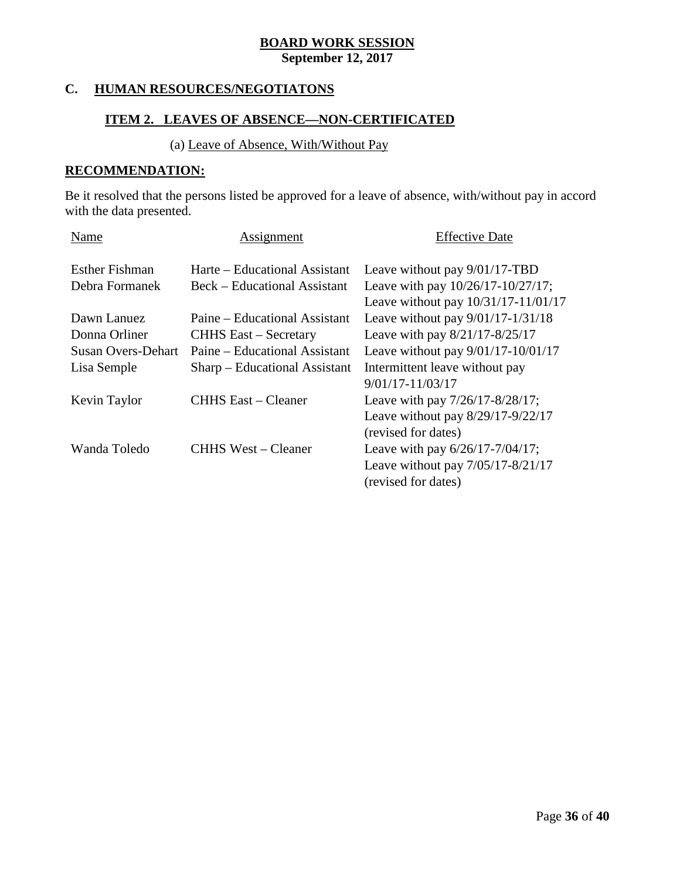## **C. HUMAN RESOURCES/NEGOTIATONS**

## **ITEM 2. LEAVES OF ABSENCE—NON-CERTIFICATED**

## (a) Leave of Absence, With/Without Pay

#### **RECOMMENDATION:**

Be it resolved that the persons listed be approved for a leave of absence, with/without pay in accord with the data presented.

| Name                      | Assignment                    | <b>Effective Date</b>                  |
|---------------------------|-------------------------------|----------------------------------------|
| <b>Esther Fishman</b>     | Harte – Educational Assistant | Leave without pay 9/01/17-TBD          |
| Debra Formanek            | Beck – Educational Assistant  | Leave with pay $10/26/17 - 10/27/17$ ; |
|                           |                               | Leave without pay 10/31/17-11/01/17    |
| Dawn Lanuez               | Paine – Educational Assistant | Leave without pay $9/01/17 - 1/31/18$  |
| Donna Orliner             | <b>CHHS East – Secretary</b>  | Leave with pay 8/21/17-8/25/17         |
| <b>Susan Overs-Dehart</b> | Paine – Educational Assistant | Leave without pay $9/01/17 - 10/01/17$ |
| Lisa Semple               | Sharp – Educational Assistant | Intermittent leave without pay         |
|                           |                               | $9/01/17 - 11/03/17$                   |
| Kevin Taylor              | <b>CHHS East – Cleaner</b>    | Leave with pay 7/26/17-8/28/17;        |
|                           |                               | Leave without pay $8/29/17-9/22/17$    |
|                           |                               | (revised for dates)                    |
| Wanda Toledo              | CHHS West – Cleaner           | Leave with pay $6/26/17 - 7/04/17$ ;   |
|                           |                               | Leave without pay 7/05/17-8/21/17      |
|                           |                               | (revised for dates)                    |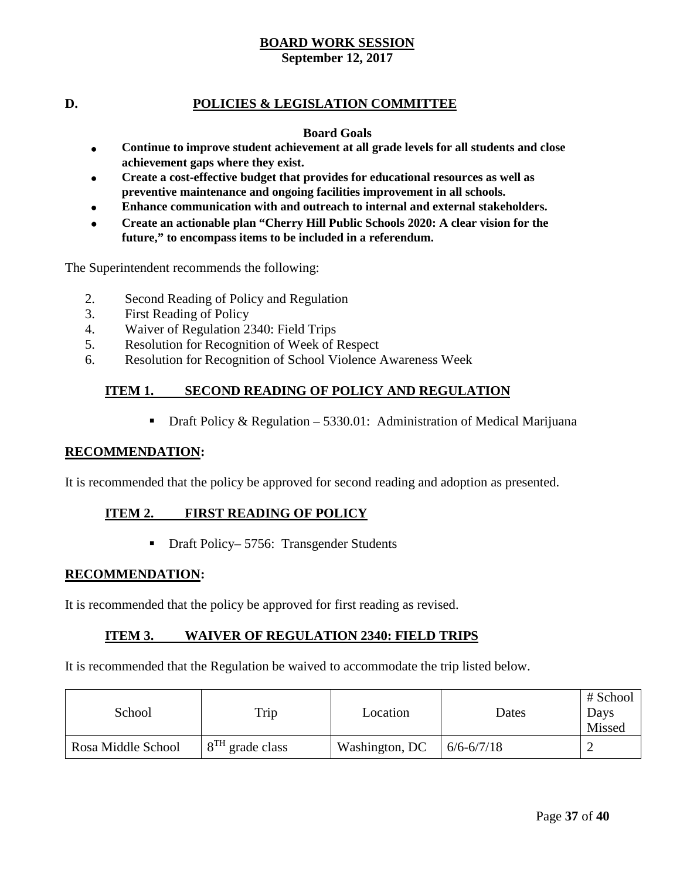## **D. POLICIES & LEGISLATION COMMITTEE**

#### **Board Goals**

- **Continue to improve student achievement at all grade levels for all students and close achievement gaps where they exist.**
- **Create a cost-effective budget that provides for educational resources as well as preventive maintenance and ongoing facilities improvement in all schools.**
- **Enhance communication with and outreach to internal and external stakeholders.**
- **Create an actionable plan "Cherry Hill Public Schools 2020: A clear vision for the future," to encompass items to be included in a referendum.**

The Superintendent recommends the following:

- 2. Second Reading of Policy and Regulation
- 3. First Reading of Policy
- 4. Waiver of Regulation 2340: Field Trips
- 5. Resolution for Recognition of Week of Respect
- 6. Resolution for Recognition of School Violence Awareness Week

#### **ITEM 1. SECOND READING OF POLICY AND REGULATION**

**Draft Policy & Regulation – 5330.01:** Administration of Medical Marijuana

#### **RECOMMENDATION:**

It is recommended that the policy be approved for second reading and adoption as presented.

#### **ITEM 2. FIRST READING OF POLICY**

■ Draft Policy– 5756: Transgender Students

#### **RECOMMENDATION:**

It is recommended that the policy be approved for first reading as revised.

#### **ITEM 3. WAIVER OF REGULATION 2340: FIELD TRIPS**

It is recommended that the Regulation be waived to accommodate the trip listed below.

| School             | Trip              | Location       | Dates          | # School<br>Days<br>Missed |
|--------------------|-------------------|----------------|----------------|----------------------------|
| Rosa Middle School | $8TH$ grade class | Washington, DC | $6/6 - 6/7/18$ |                            |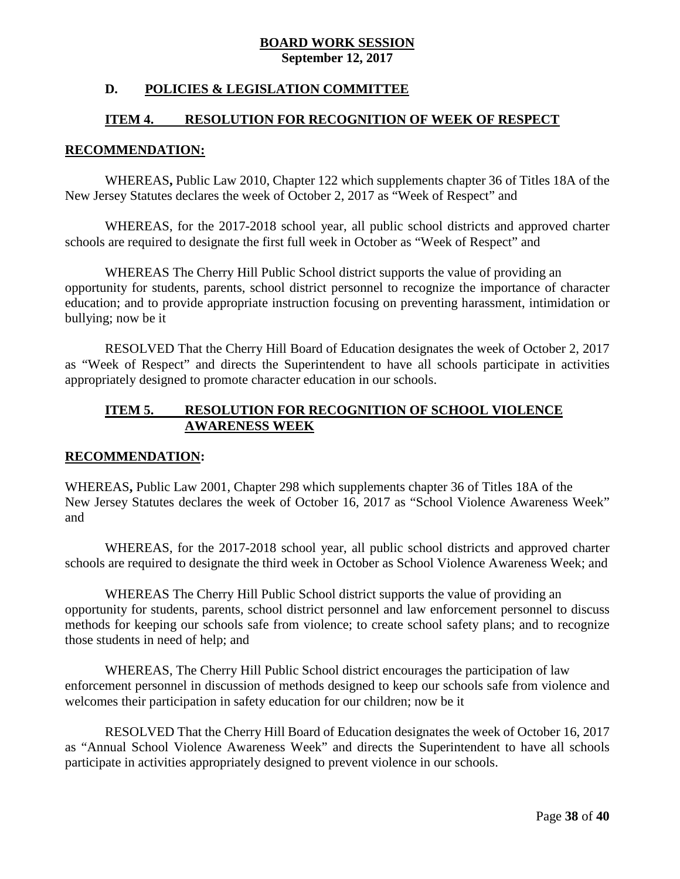## **D. POLICIES & LEGISLATION COMMITTEE**

## **ITEM 4. RESOLUTION FOR RECOGNITION OF WEEK OF RESPECT**

#### **RECOMMENDATION:**

WHEREAS**,** Public Law 2010, Chapter 122 which supplements chapter 36 of Titles 18A of the New Jersey Statutes declares the week of October 2, 2017 as "Week of Respect" and

WHEREAS, for the 2017-2018 school year, all public school districts and approved charter schools are required to designate the first full week in October as "Week of Respect" and

WHEREAS The Cherry Hill Public School district supports the value of providing an opportunity for students, parents, school district personnel to recognize the importance of character education; and to provide appropriate instruction focusing on preventing harassment, intimidation or bullying; now be it

RESOLVED That the Cherry Hill Board of Education designates the week of October 2, 2017 as "Week of Respect" and directs the Superintendent to have all schools participate in activities appropriately designed to promote character education in our schools.

## **ITEM 5. RESOLUTION FOR RECOGNITION OF SCHOOL VIOLENCE AWARENESS WEEK**

#### **RECOMMENDATION:**

WHEREAS**,** Public Law 2001, Chapter 298 which supplements chapter 36 of Titles 18A of the New Jersey Statutes declares the week of October 16, 2017 as "School Violence Awareness Week" and

WHEREAS, for the 2017-2018 school year, all public school districts and approved charter schools are required to designate the third week in October as School Violence Awareness Week; and

WHEREAS The Cherry Hill Public School district supports the value of providing an opportunity for students, parents, school district personnel and law enforcement personnel to discuss methods for keeping our schools safe from violence; to create school safety plans; and to recognize those students in need of help; and

WHEREAS, The Cherry Hill Public School district encourages the participation of law enforcement personnel in discussion of methods designed to keep our schools safe from violence and welcomes their participation in safety education for our children; now be it

RESOLVED That the Cherry Hill Board of Education designates the week of October 16, 2017 as "Annual School Violence Awareness Week" and directs the Superintendent to have all schools participate in activities appropriately designed to prevent violence in our schools.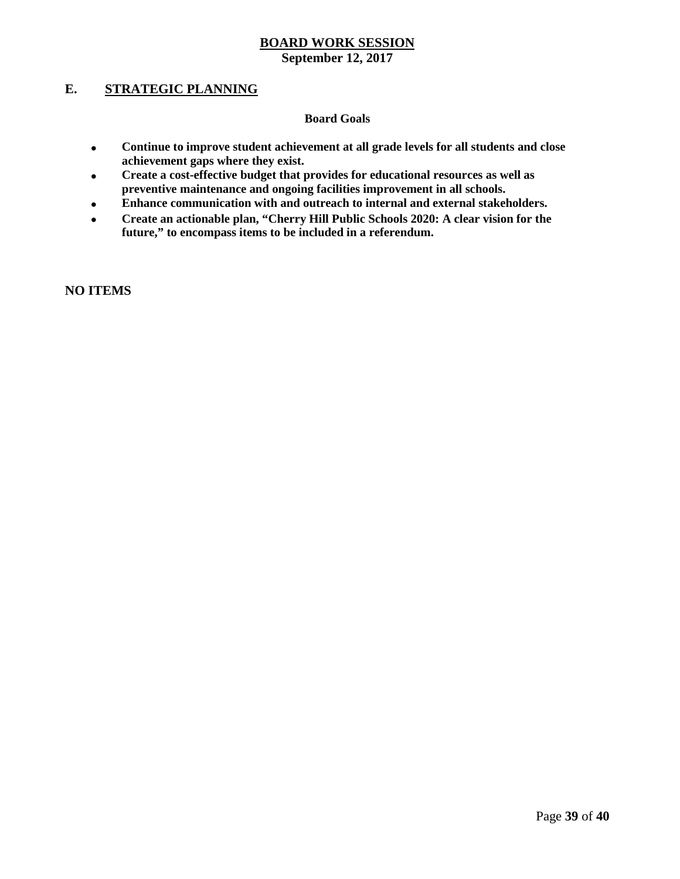## **E. STRATEGIC PLANNING**

#### **Board Goals**

- **Continue to improve student achievement at all grade levels for all students and close achievement gaps where they exist.**
- **Create a cost-effective budget that provides for educational resources as well as preventive maintenance and ongoing facilities improvement in all schools.**
- **Enhance communication with and outreach to internal and external stakeholders.**
- **Create an actionable plan, "Cherry Hill Public Schools 2020: A clear vision for the future," to encompass items to be included in a referendum.**

**NO ITEMS**